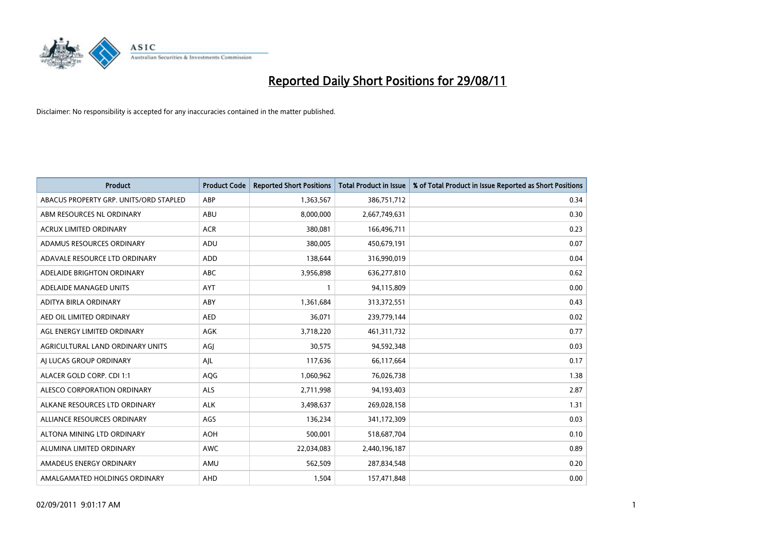

| <b>Product</b>                         | <b>Product Code</b> | <b>Reported Short Positions</b> | <b>Total Product in Issue</b> | % of Total Product in Issue Reported as Short Positions |
|----------------------------------------|---------------------|---------------------------------|-------------------------------|---------------------------------------------------------|
| ABACUS PROPERTY GRP. UNITS/ORD STAPLED | ABP                 | 1,363,567                       | 386,751,712                   | 0.34                                                    |
| ABM RESOURCES NL ORDINARY              | ABU                 | 8,000,000                       | 2,667,749,631                 | 0.30                                                    |
| <b>ACRUX LIMITED ORDINARY</b>          | <b>ACR</b>          | 380,081                         | 166,496,711                   | 0.23                                                    |
| ADAMUS RESOURCES ORDINARY              | ADU                 | 380,005                         | 450,679,191                   | 0.07                                                    |
| ADAVALE RESOURCE LTD ORDINARY          | <b>ADD</b>          | 138.644                         | 316,990,019                   | 0.04                                                    |
| ADELAIDE BRIGHTON ORDINARY             | <b>ABC</b>          | 3,956,898                       | 636,277,810                   | 0.62                                                    |
| ADELAIDE MANAGED UNITS                 | <b>AYT</b>          |                                 | 94,115,809                    | 0.00                                                    |
| ADITYA BIRLA ORDINARY                  | ABY                 | 1,361,684                       | 313,372,551                   | 0.43                                                    |
| AED OIL LIMITED ORDINARY               | <b>AED</b>          | 36,071                          | 239,779,144                   | 0.02                                                    |
| AGL ENERGY LIMITED ORDINARY            | <b>AGK</b>          | 3,718,220                       | 461,311,732                   | 0.77                                                    |
| AGRICULTURAL LAND ORDINARY UNITS       | AGJ                 | 30,575                          | 94,592,348                    | 0.03                                                    |
| AI LUCAS GROUP ORDINARY                | AJL                 | 117,636                         | 66,117,664                    | 0.17                                                    |
| ALACER GOLD CORP. CDI 1:1              | AQG                 | 1,060,962                       | 76,026,738                    | 1.38                                                    |
| ALESCO CORPORATION ORDINARY            | <b>ALS</b>          | 2,711,998                       | 94,193,403                    | 2.87                                                    |
| ALKANE RESOURCES LTD ORDINARY          | <b>ALK</b>          | 3,498,637                       | 269,028,158                   | 1.31                                                    |
| ALLIANCE RESOURCES ORDINARY            | AGS                 | 136,234                         | 341,172,309                   | 0.03                                                    |
| ALTONA MINING LTD ORDINARY             | <b>AOH</b>          | 500,001                         | 518,687,704                   | 0.10                                                    |
| ALUMINA LIMITED ORDINARY               | <b>AWC</b>          | 22,034,083                      | 2,440,196,187                 | 0.89                                                    |
| AMADEUS ENERGY ORDINARY                | AMU                 | 562,509                         | 287,834,548                   | 0.20                                                    |
| AMALGAMATED HOLDINGS ORDINARY          | AHD                 | 1,504                           | 157,471,848                   | 0.00                                                    |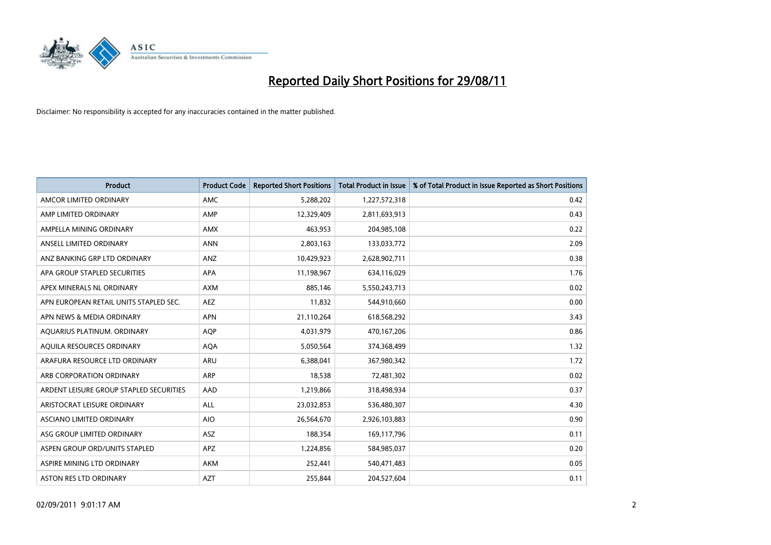

| <b>Product</b>                          | <b>Product Code</b> | <b>Reported Short Positions</b> | <b>Total Product in Issue</b> | % of Total Product in Issue Reported as Short Positions |
|-----------------------------------------|---------------------|---------------------------------|-------------------------------|---------------------------------------------------------|
| AMCOR LIMITED ORDINARY                  | <b>AMC</b>          | 5,288,202                       | 1,227,572,318                 | 0.42                                                    |
| AMP LIMITED ORDINARY                    | AMP                 | 12,329,409                      | 2,811,693,913                 | 0.43                                                    |
| AMPELLA MINING ORDINARY                 | <b>AMX</b>          | 463,953                         | 204,985,108                   | 0.22                                                    |
| ANSELL LIMITED ORDINARY                 | <b>ANN</b>          | 2,803,163                       | 133,033,772                   | 2.09                                                    |
| ANZ BANKING GRP LTD ORDINARY            | ANZ                 | 10,429,923                      | 2,628,902,711                 | 0.38                                                    |
| APA GROUP STAPLED SECURITIES            | <b>APA</b>          | 11,198,967                      | 634,116,029                   | 1.76                                                    |
| APEX MINERALS NL ORDINARY               | <b>AXM</b>          | 885,146                         | 5,550,243,713                 | 0.02                                                    |
| APN EUROPEAN RETAIL UNITS STAPLED SEC.  | <b>AEZ</b>          | 11,832                          | 544,910,660                   | 0.00                                                    |
| APN NEWS & MEDIA ORDINARY               | <b>APN</b>          | 21,110,264                      | 618,568,292                   | 3.43                                                    |
| AQUARIUS PLATINUM. ORDINARY             | <b>AOP</b>          | 4,031,979                       | 470,167,206                   | 0.86                                                    |
| AQUILA RESOURCES ORDINARY               | <b>AQA</b>          | 5,050,564                       | 374,368,499                   | 1.32                                                    |
| ARAFURA RESOURCE LTD ORDINARY           | ARU                 | 6,388,041                       | 367,980,342                   | 1.72                                                    |
| ARB CORPORATION ORDINARY                | <b>ARP</b>          | 18,538                          | 72,481,302                    | 0.02                                                    |
| ARDENT LEISURE GROUP STAPLED SECURITIES | AAD                 | 1,219,866                       | 318,498,934                   | 0.37                                                    |
| ARISTOCRAT LEISURE ORDINARY             | ALL                 | 23,032,853                      | 536,480,307                   | 4.30                                                    |
| ASCIANO LIMITED ORDINARY                | <b>AIO</b>          | 26,564,670                      | 2,926,103,883                 | 0.90                                                    |
| ASG GROUP LIMITED ORDINARY              | <b>ASZ</b>          | 188,354                         | 169,117,796                   | 0.11                                                    |
| ASPEN GROUP ORD/UNITS STAPLED           | <b>APZ</b>          | 1,224,856                       | 584,985,037                   | 0.20                                                    |
| ASPIRE MINING LTD ORDINARY              | <b>AKM</b>          | 252,441                         | 540,471,483                   | 0.05                                                    |
| ASTON RES LTD ORDINARY                  | <b>AZT</b>          | 255,844                         | 204,527,604                   | 0.11                                                    |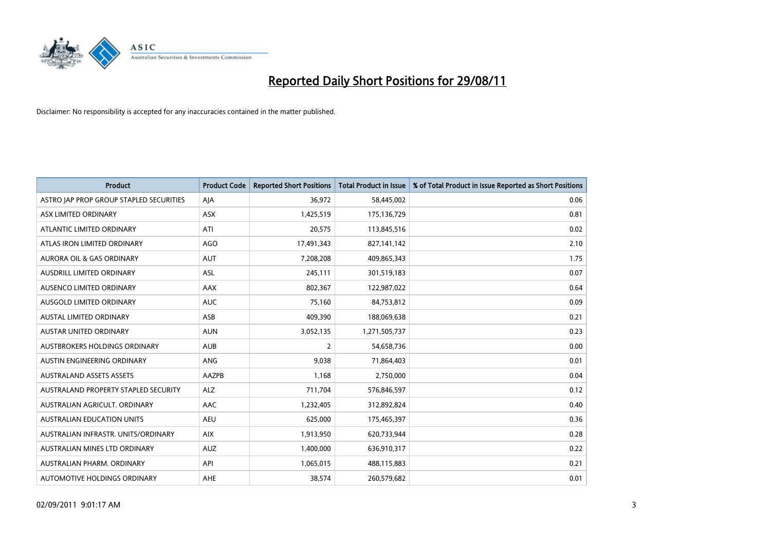

| <b>Product</b>                          | <b>Product Code</b> | <b>Reported Short Positions</b> | <b>Total Product in Issue</b> | % of Total Product in Issue Reported as Short Positions |
|-----------------------------------------|---------------------|---------------------------------|-------------------------------|---------------------------------------------------------|
| ASTRO JAP PROP GROUP STAPLED SECURITIES | AJA                 | 36,972                          | 58,445,002                    | 0.06                                                    |
| ASX LIMITED ORDINARY                    | <b>ASX</b>          | 1,425,519                       | 175,136,729                   | 0.81                                                    |
| ATLANTIC LIMITED ORDINARY               | ATI                 | 20.575                          | 113,845,516                   | 0.02                                                    |
| ATLAS IRON LIMITED ORDINARY             | AGO                 | 17,491,343                      | 827,141,142                   | 2.10                                                    |
| <b>AURORA OIL &amp; GAS ORDINARY</b>    | <b>AUT</b>          | 7,208,208                       | 409,865,343                   | 1.75                                                    |
| AUSDRILL LIMITED ORDINARY               | <b>ASL</b>          | 245,111                         | 301,519,183                   | 0.07                                                    |
| AUSENCO LIMITED ORDINARY                | <b>AAX</b>          | 802,367                         | 122,987,022                   | 0.64                                                    |
| AUSGOLD LIMITED ORDINARY                | <b>AUC</b>          | 75,160                          | 84,753,812                    | 0.09                                                    |
| <b>AUSTAL LIMITED ORDINARY</b>          | ASB                 | 409.390                         | 188,069,638                   | 0.21                                                    |
| <b>AUSTAR UNITED ORDINARY</b>           | <b>AUN</b>          | 3,052,135                       | 1,271,505,737                 | 0.23                                                    |
| AUSTBROKERS HOLDINGS ORDINARY           | <b>AUB</b>          | $\overline{2}$                  | 54,658,736                    | 0.00                                                    |
| AUSTIN ENGINEERING ORDINARY             | ANG                 | 9,038                           | 71,864,403                    | 0.01                                                    |
| <b>AUSTRALAND ASSETS ASSETS</b>         | AAZPB               | 1,168                           | 2,750,000                     | 0.04                                                    |
| AUSTRALAND PROPERTY STAPLED SECURITY    | <b>ALZ</b>          | 711,704                         | 576,846,597                   | 0.12                                                    |
| AUSTRALIAN AGRICULT, ORDINARY           | <b>AAC</b>          | 1,232,405                       | 312,892,824                   | 0.40                                                    |
| AUSTRALIAN EDUCATION UNITS              | <b>AEU</b>          | 625,000                         | 175,465,397                   | 0.36                                                    |
| AUSTRALIAN INFRASTR. UNITS/ORDINARY     | <b>AIX</b>          | 1,913,950                       | 620,733,944                   | 0.28                                                    |
| AUSTRALIAN MINES LTD ORDINARY           | <b>AUZ</b>          | 1,400,000                       | 636,910,317                   | 0.22                                                    |
| AUSTRALIAN PHARM, ORDINARY              | API                 | 1,065,015                       | 488,115,883                   | 0.21                                                    |
| AUTOMOTIVE HOLDINGS ORDINARY            | <b>AHE</b>          | 38,574                          | 260,579,682                   | 0.01                                                    |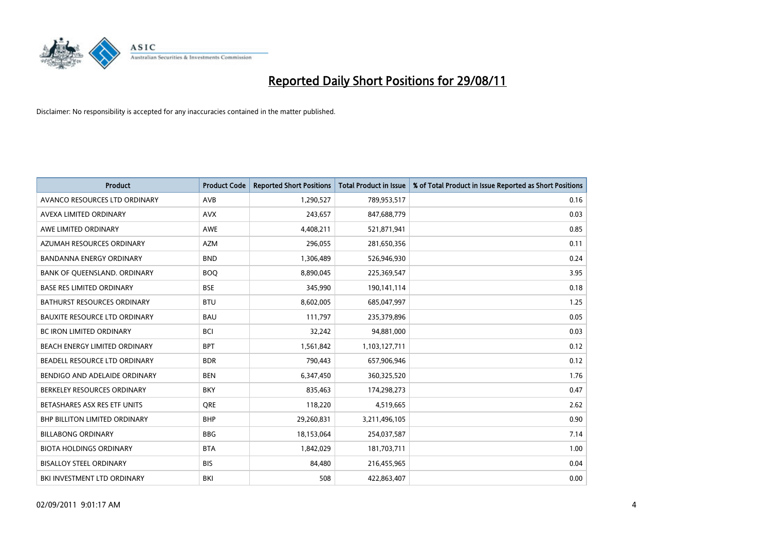

| <b>Product</b>                       | <b>Product Code</b> | <b>Reported Short Positions</b> | <b>Total Product in Issue</b> | % of Total Product in Issue Reported as Short Positions |
|--------------------------------------|---------------------|---------------------------------|-------------------------------|---------------------------------------------------------|
| AVANCO RESOURCES LTD ORDINARY        | AVB                 | 1,290,527                       | 789,953,517                   | 0.16                                                    |
| AVEXA LIMITED ORDINARY               | <b>AVX</b>          | 243,657                         | 847,688,779                   | 0.03                                                    |
| AWE LIMITED ORDINARY                 | AWE                 | 4,408,211                       | 521,871,941                   | 0.85                                                    |
| AZUMAH RESOURCES ORDINARY            | <b>AZM</b>          | 296,055                         | 281,650,356                   | 0.11                                                    |
| <b>BANDANNA ENERGY ORDINARY</b>      | <b>BND</b>          | 1,306,489                       | 526,946,930                   | 0.24                                                    |
| BANK OF QUEENSLAND. ORDINARY         | <b>BOO</b>          | 8,890,045                       | 225,369,547                   | 3.95                                                    |
| <b>BASE RES LIMITED ORDINARY</b>     | <b>BSE</b>          | 345.990                         | 190,141,114                   | 0.18                                                    |
| <b>BATHURST RESOURCES ORDINARY</b>   | <b>BTU</b>          | 8,602,005                       | 685,047,997                   | 1.25                                                    |
| <b>BAUXITE RESOURCE LTD ORDINARY</b> | <b>BAU</b>          | 111,797                         | 235,379,896                   | 0.05                                                    |
| <b>BC IRON LIMITED ORDINARY</b>      | <b>BCI</b>          | 32,242                          | 94,881,000                    | 0.03                                                    |
| BEACH ENERGY LIMITED ORDINARY        | <b>BPT</b>          | 1,561,842                       | 1,103,127,711                 | 0.12                                                    |
| BEADELL RESOURCE LTD ORDINARY        | <b>BDR</b>          | 790,443                         | 657,906,946                   | 0.12                                                    |
| BENDIGO AND ADELAIDE ORDINARY        | <b>BEN</b>          | 6,347,450                       | 360,325,520                   | 1.76                                                    |
| BERKELEY RESOURCES ORDINARY          | <b>BKY</b>          | 835.463                         | 174,298,273                   | 0.47                                                    |
| BETASHARES ASX RES ETF UNITS         | <b>ORE</b>          | 118,220                         | 4,519,665                     | 2.62                                                    |
| <b>BHP BILLITON LIMITED ORDINARY</b> | <b>BHP</b>          | 29,260,831                      | 3,211,496,105                 | 0.90                                                    |
| <b>BILLABONG ORDINARY</b>            | <b>BBG</b>          | 18,153,064                      | 254,037,587                   | 7.14                                                    |
| <b>BIOTA HOLDINGS ORDINARY</b>       | <b>BTA</b>          | 1,842,029                       | 181,703,711                   | 1.00                                                    |
| <b>BISALLOY STEEL ORDINARY</b>       | <b>BIS</b>          | 84,480                          | 216,455,965                   | 0.04                                                    |
| <b>BKI INVESTMENT LTD ORDINARY</b>   | BKI                 | 508                             | 422,863,407                   | 0.00                                                    |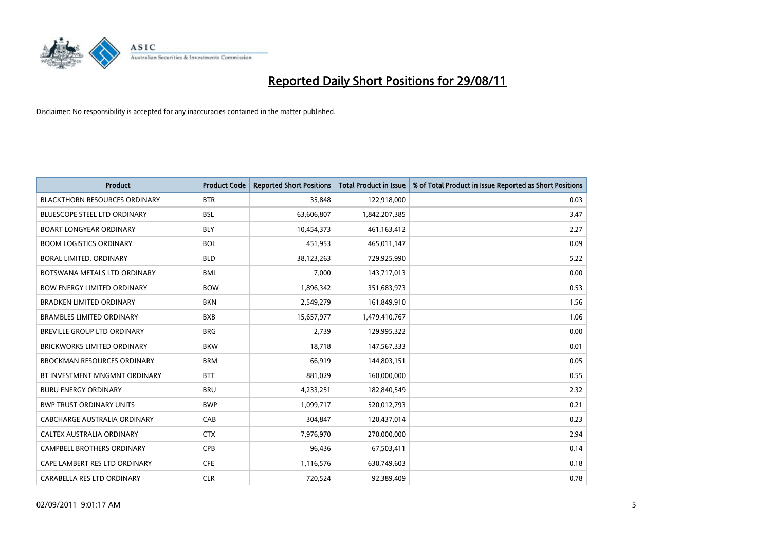

| <b>Product</b>                       | <b>Product Code</b> | <b>Reported Short Positions</b> | <b>Total Product in Issue</b> | % of Total Product in Issue Reported as Short Positions |
|--------------------------------------|---------------------|---------------------------------|-------------------------------|---------------------------------------------------------|
| <b>BLACKTHORN RESOURCES ORDINARY</b> | <b>BTR</b>          | 35,848                          | 122,918,000                   | 0.03                                                    |
| <b>BLUESCOPE STEEL LTD ORDINARY</b>  | <b>BSL</b>          | 63,606,807                      | 1,842,207,385                 | 3.47                                                    |
| <b>BOART LONGYEAR ORDINARY</b>       | <b>BLY</b>          | 10,454,373                      | 461,163,412                   | 2.27                                                    |
| <b>BOOM LOGISTICS ORDINARY</b>       | <b>BOL</b>          | 451,953                         | 465,011,147                   | 0.09                                                    |
| <b>BORAL LIMITED, ORDINARY</b>       | <b>BLD</b>          | 38,123,263                      | 729,925,990                   | 5.22                                                    |
| BOTSWANA METALS LTD ORDINARY         | <b>BML</b>          | 7,000                           | 143,717,013                   | 0.00                                                    |
| <b>BOW ENERGY LIMITED ORDINARY</b>   | <b>BOW</b>          | 1,896,342                       | 351,683,973                   | 0.53                                                    |
| <b>BRADKEN LIMITED ORDINARY</b>      | <b>BKN</b>          | 2,549,279                       | 161,849,910                   | 1.56                                                    |
| <b>BRAMBLES LIMITED ORDINARY</b>     | <b>BXB</b>          | 15,657,977                      | 1,479,410,767                 | 1.06                                                    |
| <b>BREVILLE GROUP LTD ORDINARY</b>   | <b>BRG</b>          | 2,739                           | 129,995,322                   | 0.00                                                    |
| <b>BRICKWORKS LIMITED ORDINARY</b>   | <b>BKW</b>          | 18,718                          | 147,567,333                   | 0.01                                                    |
| <b>BROCKMAN RESOURCES ORDINARY</b>   | <b>BRM</b>          | 66,919                          | 144,803,151                   | 0.05                                                    |
| BT INVESTMENT MNGMNT ORDINARY        | <b>BTT</b>          | 881,029                         | 160,000,000                   | 0.55                                                    |
| <b>BURU ENERGY ORDINARY</b>          | <b>BRU</b>          | 4,233,251                       | 182,840,549                   | 2.32                                                    |
| <b>BWP TRUST ORDINARY UNITS</b>      | <b>BWP</b>          | 1,099,717                       | 520,012,793                   | 0.21                                                    |
| CABCHARGE AUSTRALIA ORDINARY         | CAB                 | 304,847                         | 120,437,014                   | 0.23                                                    |
| CALTEX AUSTRALIA ORDINARY            | <b>CTX</b>          | 7,976,970                       | 270,000,000                   | 2.94                                                    |
| CAMPBELL BROTHERS ORDINARY           | <b>CPB</b>          | 96,436                          | 67,503,411                    | 0.14                                                    |
| CAPE LAMBERT RES LTD ORDINARY        | <b>CFE</b>          | 1,116,576                       | 630,749,603                   | 0.18                                                    |
| CARABELLA RES LTD ORDINARY           | <b>CLR</b>          | 720,524                         | 92,389,409                    | 0.78                                                    |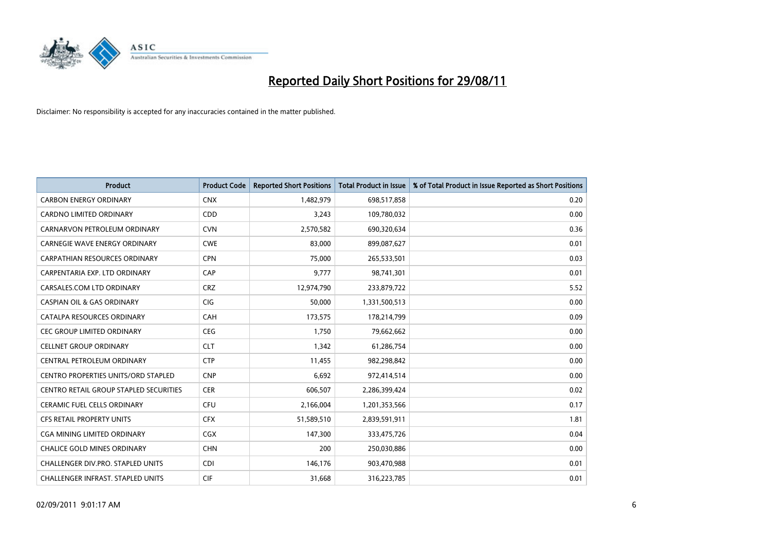

| <b>Product</b>                                | <b>Product Code</b> | <b>Reported Short Positions</b> | <b>Total Product in Issue</b> | % of Total Product in Issue Reported as Short Positions |
|-----------------------------------------------|---------------------|---------------------------------|-------------------------------|---------------------------------------------------------|
| <b>CARBON ENERGY ORDINARY</b>                 | <b>CNX</b>          | 1,482,979                       | 698,517,858                   | 0.20                                                    |
| CARDNO LIMITED ORDINARY                       | <b>CDD</b>          | 3,243                           | 109,780,032                   | 0.00                                                    |
| CARNARVON PETROLEUM ORDINARY                  | <b>CVN</b>          | 2,570,582                       | 690,320,634                   | 0.36                                                    |
| <b>CARNEGIE WAVE ENERGY ORDINARY</b>          | <b>CWE</b>          | 83,000                          | 899,087,627                   | 0.01                                                    |
| <b>CARPATHIAN RESOURCES ORDINARY</b>          | <b>CPN</b>          | 75,000                          | 265,533,501                   | 0.03                                                    |
| CARPENTARIA EXP. LTD ORDINARY                 | CAP                 | 9,777                           | 98,741,301                    | 0.01                                                    |
| CARSALES.COM LTD ORDINARY                     | <b>CRZ</b>          | 12,974,790                      | 233,879,722                   | 5.52                                                    |
| <b>CASPIAN OIL &amp; GAS ORDINARY</b>         | <b>CIG</b>          | 50,000                          | 1,331,500,513                 | 0.00                                                    |
| CATALPA RESOURCES ORDINARY                    | CAH                 | 173,575                         | 178,214,799                   | 0.09                                                    |
| <b>CEC GROUP LIMITED ORDINARY</b>             | <b>CEG</b>          | 1,750                           | 79,662,662                    | 0.00                                                    |
| <b>CELLNET GROUP ORDINARY</b>                 | <b>CLT</b>          | 1,342                           | 61,286,754                    | 0.00                                                    |
| CENTRAL PETROLEUM ORDINARY                    | <b>CTP</b>          | 11,455                          | 982,298,842                   | 0.00                                                    |
| <b>CENTRO PROPERTIES UNITS/ORD STAPLED</b>    | <b>CNP</b>          | 6,692                           | 972,414,514                   | 0.00                                                    |
| <b>CENTRO RETAIL GROUP STAPLED SECURITIES</b> | <b>CER</b>          | 606,507                         | 2,286,399,424                 | 0.02                                                    |
| <b>CERAMIC FUEL CELLS ORDINARY</b>            | CFU                 | 2,166,004                       | 1,201,353,566                 | 0.17                                                    |
| CFS RETAIL PROPERTY UNITS                     | <b>CFX</b>          | 51,589,510                      | 2,839,591,911                 | 1.81                                                    |
| CGA MINING LIMITED ORDINARY                   | <b>CGX</b>          | 147,300                         | 333,475,726                   | 0.04                                                    |
| CHALICE GOLD MINES ORDINARY                   | <b>CHN</b>          | 200                             | 250,030,886                   | 0.00                                                    |
| CHALLENGER DIV.PRO. STAPLED UNITS             | <b>CDI</b>          | 146,176                         | 903,470,988                   | 0.01                                                    |
| CHALLENGER INFRAST. STAPLED UNITS             | <b>CIF</b>          | 31,668                          | 316,223,785                   | 0.01                                                    |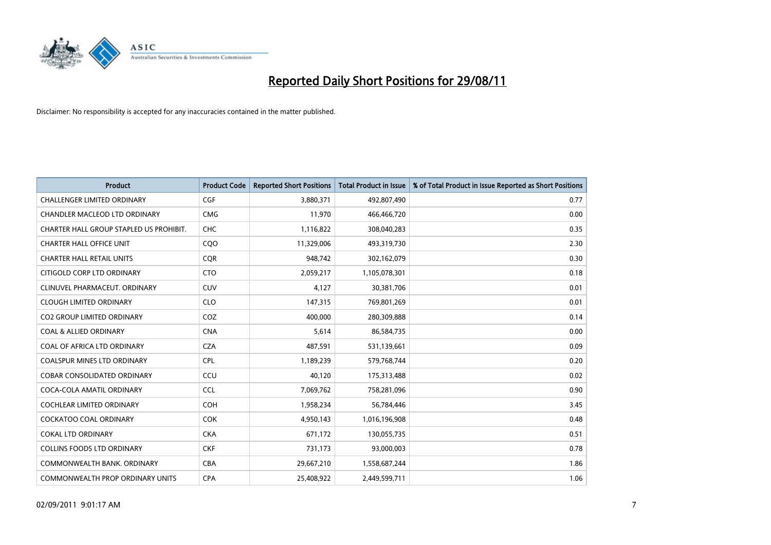

| <b>Product</b>                          | <b>Product Code</b> | <b>Reported Short Positions</b> | <b>Total Product in Issue</b> | % of Total Product in Issue Reported as Short Positions |
|-----------------------------------------|---------------------|---------------------------------|-------------------------------|---------------------------------------------------------|
| <b>CHALLENGER LIMITED ORDINARY</b>      | <b>CGF</b>          | 3,880,371                       | 492,807,490                   | 0.77                                                    |
| CHANDLER MACLEOD LTD ORDINARY           | <b>CMG</b>          | 11,970                          | 466,466,720                   | 0.00                                                    |
| CHARTER HALL GROUP STAPLED US PROHIBIT. | <b>CHC</b>          | 1,116,822                       | 308,040,283                   | 0.35                                                    |
| <b>CHARTER HALL OFFICE UNIT</b>         | CQO                 | 11,329,006                      | 493,319,730                   | 2.30                                                    |
| <b>CHARTER HALL RETAIL UNITS</b>        | <b>COR</b>          | 948,742                         | 302,162,079                   | 0.30                                                    |
| CITIGOLD CORP LTD ORDINARY              | <b>CTO</b>          | 2,059,217                       | 1,105,078,301                 | 0.18                                                    |
| CLINUVEL PHARMACEUT, ORDINARY           | <b>CUV</b>          | 4,127                           | 30,381,706                    | 0.01                                                    |
| <b>CLOUGH LIMITED ORDINARY</b>          | <b>CLO</b>          | 147,315                         | 769,801,269                   | 0.01                                                    |
| CO2 GROUP LIMITED ORDINARY              | COZ                 | 400,000                         | 280,309,888                   | 0.14                                                    |
| <b>COAL &amp; ALLIED ORDINARY</b>       | <b>CNA</b>          | 5,614                           | 86,584,735                    | 0.00                                                    |
| COAL OF AFRICA LTD ORDINARY             | <b>CZA</b>          | 487,591                         | 531,139,661                   | 0.09                                                    |
| <b>COALSPUR MINES LTD ORDINARY</b>      | <b>CPL</b>          | 1,189,239                       | 579,768,744                   | 0.20                                                    |
| <b>COBAR CONSOLIDATED ORDINARY</b>      | CCU                 | 40.120                          | 175,313,488                   | 0.02                                                    |
| COCA-COLA AMATIL ORDINARY               | CCL                 | 7,069,762                       | 758,281,096                   | 0.90                                                    |
| COCHLEAR LIMITED ORDINARY               | <b>COH</b>          | 1,958,234                       | 56,784,446                    | 3.45                                                    |
| <b>COCKATOO COAL ORDINARY</b>           | <b>COK</b>          | 4,950,143                       | 1,016,196,908                 | 0.48                                                    |
| <b>COKAL LTD ORDINARY</b>               | <b>CKA</b>          | 671,172                         | 130,055,735                   | 0.51                                                    |
| COLLINS FOODS LTD ORDINARY              | <b>CKF</b>          | 731,173                         | 93,000,003                    | 0.78                                                    |
| COMMONWEALTH BANK, ORDINARY             | <b>CBA</b>          | 29,667,210                      | 1,558,687,244                 | 1.86                                                    |
| COMMONWEALTH PROP ORDINARY UNITS        | <b>CPA</b>          | 25,408,922                      | 2,449,599,711                 | 1.06                                                    |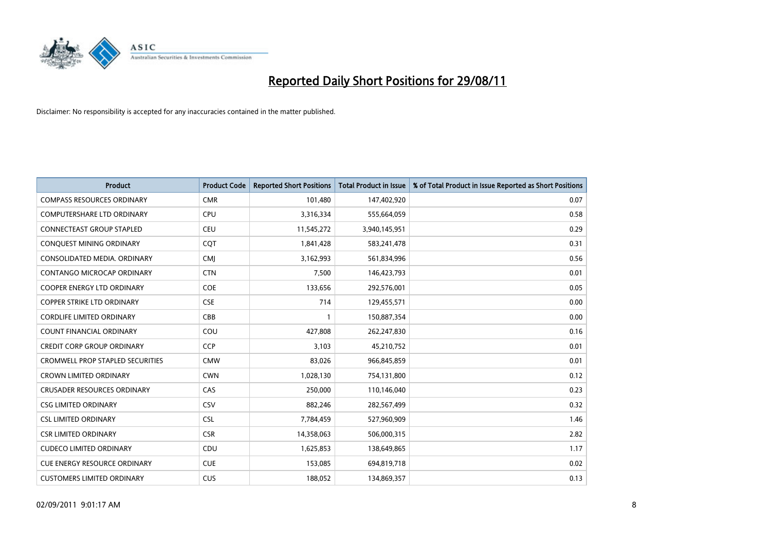

| <b>Product</b>                          | <b>Product Code</b> | <b>Reported Short Positions</b> | <b>Total Product in Issue</b> | % of Total Product in Issue Reported as Short Positions |
|-----------------------------------------|---------------------|---------------------------------|-------------------------------|---------------------------------------------------------|
| <b>COMPASS RESOURCES ORDINARY</b>       | <b>CMR</b>          | 101,480                         | 147,402,920                   | 0.07                                                    |
| <b>COMPUTERSHARE LTD ORDINARY</b>       | <b>CPU</b>          | 3,316,334                       | 555,664,059                   | 0.58                                                    |
| <b>CONNECTEAST GROUP STAPLED</b>        | <b>CEU</b>          | 11,545,272                      | 3,940,145,951                 | 0.29                                                    |
| CONQUEST MINING ORDINARY                | <b>COT</b>          | 1,841,428                       | 583,241,478                   | 0.31                                                    |
| CONSOLIDATED MEDIA, ORDINARY            | <b>CMI</b>          | 3,162,993                       | 561,834,996                   | 0.56                                                    |
| CONTANGO MICROCAP ORDINARY              | <b>CTN</b>          | 7,500                           | 146,423,793                   | 0.01                                                    |
| <b>COOPER ENERGY LTD ORDINARY</b>       | <b>COE</b>          | 133,656                         | 292,576,001                   | 0.05                                                    |
| <b>COPPER STRIKE LTD ORDINARY</b>       | <b>CSE</b>          | 714                             | 129,455,571                   | 0.00                                                    |
| <b>CORDLIFE LIMITED ORDINARY</b>        | CBB                 |                                 | 150,887,354                   | 0.00                                                    |
| <b>COUNT FINANCIAL ORDINARY</b>         | COU                 | 427,808                         | 262,247,830                   | 0.16                                                    |
| <b>CREDIT CORP GROUP ORDINARY</b>       | <b>CCP</b>          | 3,103                           | 45,210,752                    | 0.01                                                    |
| <b>CROMWELL PROP STAPLED SECURITIES</b> | <b>CMW</b>          | 83,026                          | 966,845,859                   | 0.01                                                    |
| <b>CROWN LIMITED ORDINARY</b>           | <b>CWN</b>          | 1,028,130                       | 754,131,800                   | 0.12                                                    |
| <b>CRUSADER RESOURCES ORDINARY</b>      | CAS                 | 250.000                         | 110,146,040                   | 0.23                                                    |
| <b>CSG LIMITED ORDINARY</b>             | CSV                 | 882,246                         | 282,567,499                   | 0.32                                                    |
| <b>CSL LIMITED ORDINARY</b>             | <b>CSL</b>          | 7,784,459                       | 527,960,909                   | 1.46                                                    |
| <b>CSR LIMITED ORDINARY</b>             | <b>CSR</b>          | 14,358,063                      | 506,000,315                   | 2.82                                                    |
| <b>CUDECO LIMITED ORDINARY</b>          | CDU                 | 1,625,853                       | 138,649,865                   | 1.17                                                    |
| <b>CUE ENERGY RESOURCE ORDINARY</b>     | <b>CUE</b>          | 153,085                         | 694,819,718                   | 0.02                                                    |
| <b>CUSTOMERS LIMITED ORDINARY</b>       | <b>CUS</b>          | 188.052                         | 134,869,357                   | 0.13                                                    |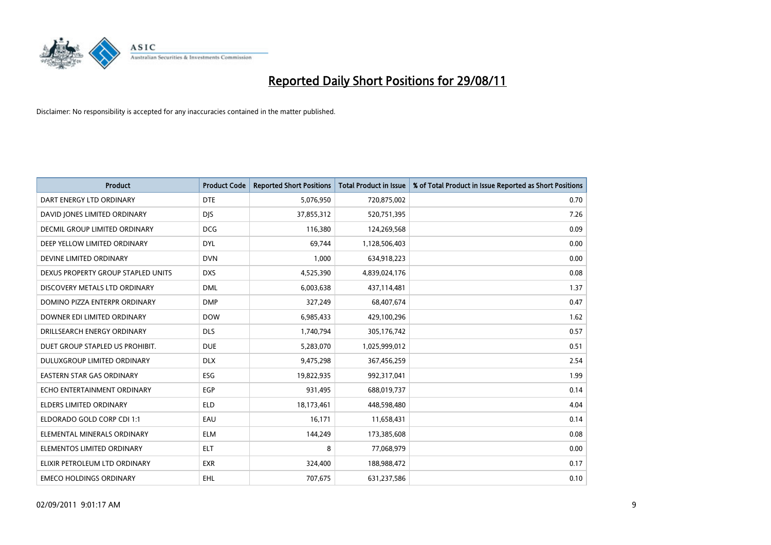

| <b>Product</b>                       | <b>Product Code</b> | <b>Reported Short Positions</b> | <b>Total Product in Issue</b> | % of Total Product in Issue Reported as Short Positions |
|--------------------------------------|---------------------|---------------------------------|-------------------------------|---------------------------------------------------------|
| DART ENERGY LTD ORDINARY             | <b>DTE</b>          | 5,076,950                       | 720,875,002                   | 0.70                                                    |
| DAVID JONES LIMITED ORDINARY         | <b>DIS</b>          | 37,855,312                      | 520,751,395                   | 7.26                                                    |
| <b>DECMIL GROUP LIMITED ORDINARY</b> | <b>DCG</b>          | 116,380                         | 124,269,568                   | 0.09                                                    |
| DEEP YELLOW LIMITED ORDINARY         | <b>DYL</b>          | 69,744                          | 1,128,506,403                 | 0.00                                                    |
| DEVINE LIMITED ORDINARY              | <b>DVN</b>          | 1,000                           | 634,918,223                   | 0.00                                                    |
| DEXUS PROPERTY GROUP STAPLED UNITS   | <b>DXS</b>          | 4,525,390                       | 4,839,024,176                 | 0.08                                                    |
| DISCOVERY METALS LTD ORDINARY        | <b>DML</b>          | 6,003,638                       | 437,114,481                   | 1.37                                                    |
| DOMINO PIZZA ENTERPR ORDINARY        | <b>DMP</b>          | 327,249                         | 68,407,674                    | 0.47                                                    |
| DOWNER EDI LIMITED ORDINARY          | <b>DOW</b>          | 6,985,433                       | 429,100,296                   | 1.62                                                    |
| DRILLSEARCH ENERGY ORDINARY          | <b>DLS</b>          | 1,740,794                       | 305,176,742                   | 0.57                                                    |
| DUET GROUP STAPLED US PROHIBIT.      | <b>DUE</b>          | 5,283,070                       | 1,025,999,012                 | 0.51                                                    |
| DULUXGROUP LIMITED ORDINARY          | <b>DLX</b>          | 9,475,298                       | 367,456,259                   | 2.54                                                    |
| <b>EASTERN STAR GAS ORDINARY</b>     | ESG                 | 19,822,935                      | 992,317,041                   | 1.99                                                    |
| ECHO ENTERTAINMENT ORDINARY          | EGP                 | 931,495                         | 688,019,737                   | 0.14                                                    |
| ELDERS LIMITED ORDINARY              | <b>ELD</b>          | 18,173,461                      | 448,598,480                   | 4.04                                                    |
| ELDORADO GOLD CORP CDI 1:1           | EAU                 | 16,171                          | 11,658,431                    | 0.14                                                    |
| ELEMENTAL MINERALS ORDINARY          | <b>ELM</b>          | 144,249                         | 173,385,608                   | 0.08                                                    |
| ELEMENTOS LIMITED ORDINARY           | <b>ELT</b>          | 8                               | 77,068,979                    | 0.00                                                    |
| ELIXIR PETROLEUM LTD ORDINARY        | <b>EXR</b>          | 324,400                         | 188,988,472                   | 0.17                                                    |
| <b>EMECO HOLDINGS ORDINARY</b>       | <b>EHL</b>          | 707,675                         | 631,237,586                   | 0.10                                                    |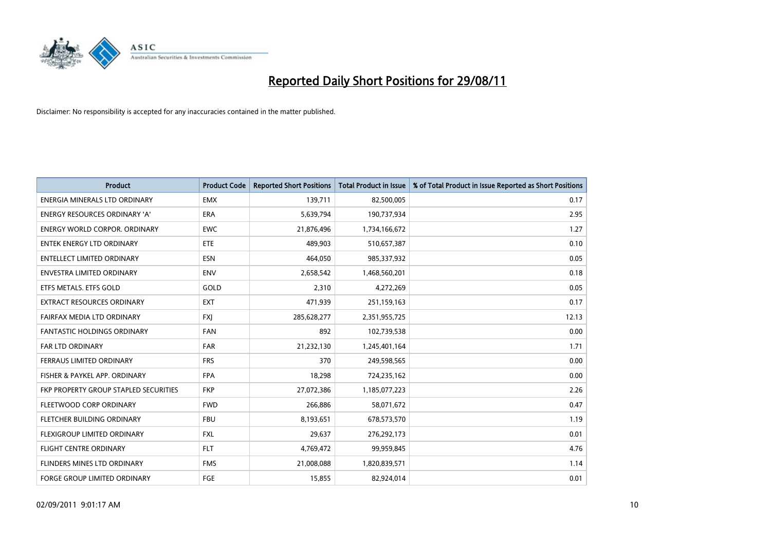

| <b>Product</b>                        | <b>Product Code</b> | <b>Reported Short Positions</b> | Total Product in Issue | % of Total Product in Issue Reported as Short Positions |
|---------------------------------------|---------------------|---------------------------------|------------------------|---------------------------------------------------------|
| ENERGIA MINERALS LTD ORDINARY         | <b>EMX</b>          | 139,711                         | 82,500,005             | 0.17                                                    |
| ENERGY RESOURCES ORDINARY 'A'         | <b>ERA</b>          | 5,639,794                       | 190,737,934            | 2.95                                                    |
| ENERGY WORLD CORPOR, ORDINARY         | <b>EWC</b>          | 21,876,496                      | 1,734,166,672          | 1.27                                                    |
| ENTEK ENERGY LTD ORDINARY             | <b>ETE</b>          | 489,903                         | 510,657,387            | 0.10                                                    |
| <b>ENTELLECT LIMITED ORDINARY</b>     | <b>ESN</b>          | 464,050                         | 985,337,932            | 0.05                                                    |
| <b>ENVESTRA LIMITED ORDINARY</b>      | <b>ENV</b>          | 2,658,542                       | 1,468,560,201          | 0.18                                                    |
| ETFS METALS. ETFS GOLD                | GOLD                | 2,310                           | 4,272,269              | 0.05                                                    |
| EXTRACT RESOURCES ORDINARY            | EXT                 | 471,939                         | 251,159,163            | 0.17                                                    |
| FAIRFAX MEDIA LTD ORDINARY            | <b>FXI</b>          | 285,628,277                     | 2,351,955,725          | 12.13                                                   |
| <b>FANTASTIC HOLDINGS ORDINARY</b>    | <b>FAN</b>          | 892                             | 102,739,538            | 0.00                                                    |
| FAR LTD ORDINARY                      | <b>FAR</b>          | 21,232,130                      | 1,245,401,164          | 1.71                                                    |
| <b>FERRAUS LIMITED ORDINARY</b>       | <b>FRS</b>          | 370                             | 249,598,565            | 0.00                                                    |
| FISHER & PAYKEL APP. ORDINARY         | <b>FPA</b>          | 18,298                          | 724,235,162            | 0.00                                                    |
| FKP PROPERTY GROUP STAPLED SECURITIES | <b>FKP</b>          | 27,072,386                      | 1,185,077,223          | 2.26                                                    |
| FLEETWOOD CORP ORDINARY               | <b>FWD</b>          | 266,886                         | 58,071,672             | 0.47                                                    |
| FLETCHER BUILDING ORDINARY            | <b>FBU</b>          | 8,193,651                       | 678,573,570            | 1.19                                                    |
| FLEXIGROUP LIMITED ORDINARY           | <b>FXL</b>          | 29,637                          | 276,292,173            | 0.01                                                    |
| <b>FLIGHT CENTRE ORDINARY</b>         | <b>FLT</b>          | 4,769,472                       | 99,959,845             | 4.76                                                    |
| FLINDERS MINES LTD ORDINARY           | <b>FMS</b>          | 21,008,088                      | 1,820,839,571          | 1.14                                                    |
| FORGE GROUP LIMITED ORDINARY          | <b>FGE</b>          | 15,855                          | 82,924,014             | 0.01                                                    |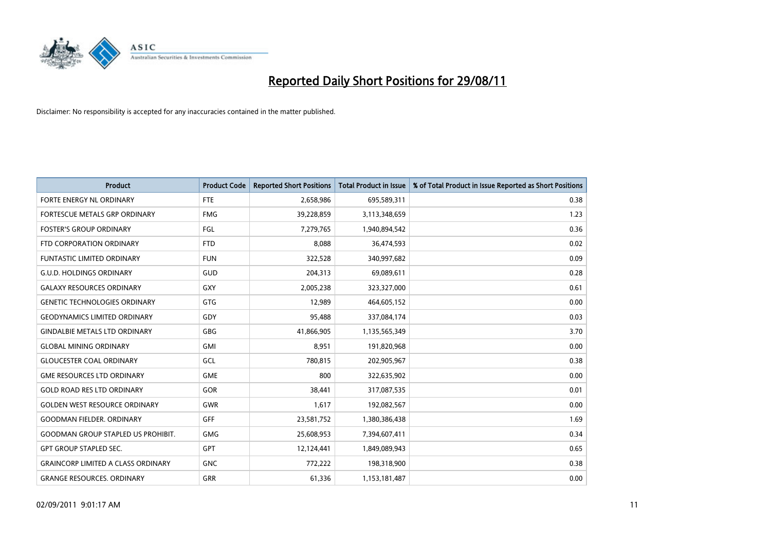

| <b>Product</b>                            | <b>Product Code</b> | <b>Reported Short Positions</b> | <b>Total Product in Issue</b> | % of Total Product in Issue Reported as Short Positions |
|-------------------------------------------|---------------------|---------------------------------|-------------------------------|---------------------------------------------------------|
| FORTE ENERGY NL ORDINARY                  | <b>FTE</b>          | 2,658,986                       | 695,589,311                   | 0.38                                                    |
| FORTESCUE METALS GRP ORDINARY             | <b>FMG</b>          | 39,228,859                      | 3,113,348,659                 | 1.23                                                    |
| <b>FOSTER'S GROUP ORDINARY</b>            | FGL                 | 7,279,765                       | 1,940,894,542                 | 0.36                                                    |
| FTD CORPORATION ORDINARY                  | <b>FTD</b>          | 8,088                           | 36,474,593                    | 0.02                                                    |
| <b>FUNTASTIC LIMITED ORDINARY</b>         | <b>FUN</b>          | 322,528                         | 340,997,682                   | 0.09                                                    |
| <b>G.U.D. HOLDINGS ORDINARY</b>           | GUD                 | 204,313                         | 69,089,611                    | 0.28                                                    |
| <b>GALAXY RESOURCES ORDINARY</b>          | GXY                 | 2,005,238                       | 323,327,000                   | 0.61                                                    |
| <b>GENETIC TECHNOLOGIES ORDINARY</b>      | GTG                 | 12,989                          | 464,605,152                   | 0.00                                                    |
| <b>GEODYNAMICS LIMITED ORDINARY</b>       | GDY                 | 95,488                          | 337,084,174                   | 0.03                                                    |
| <b>GINDALBIE METALS LTD ORDINARY</b>      | GBG                 | 41,866,905                      | 1,135,565,349                 | 3.70                                                    |
| <b>GLOBAL MINING ORDINARY</b>             | <b>GMI</b>          | 8,951                           | 191,820,968                   | 0.00                                                    |
| <b>GLOUCESTER COAL ORDINARY</b>           | <b>GCL</b>          | 780,815                         | 202,905,967                   | 0.38                                                    |
| <b>GME RESOURCES LTD ORDINARY</b>         | <b>GME</b>          | 800                             | 322,635,902                   | 0.00                                                    |
| <b>GOLD ROAD RES LTD ORDINARY</b>         | GOR                 | 38,441                          | 317,087,535                   | 0.01                                                    |
| <b>GOLDEN WEST RESOURCE ORDINARY</b>      | <b>GWR</b>          | 1,617                           | 192,082,567                   | 0.00                                                    |
| <b>GOODMAN FIELDER. ORDINARY</b>          | <b>GFF</b>          | 23,581,752                      | 1,380,386,438                 | 1.69                                                    |
| <b>GOODMAN GROUP STAPLED US PROHIBIT.</b> | <b>GMG</b>          | 25,608,953                      | 7,394,607,411                 | 0.34                                                    |
| <b>GPT GROUP STAPLED SEC.</b>             | <b>GPT</b>          | 12,124,441                      | 1,849,089,943                 | 0.65                                                    |
| <b>GRAINCORP LIMITED A CLASS ORDINARY</b> | <b>GNC</b>          | 772,222                         | 198,318,900                   | 0.38                                                    |
| <b>GRANGE RESOURCES. ORDINARY</b>         | <b>GRR</b>          | 61,336                          | 1,153,181,487                 | 0.00                                                    |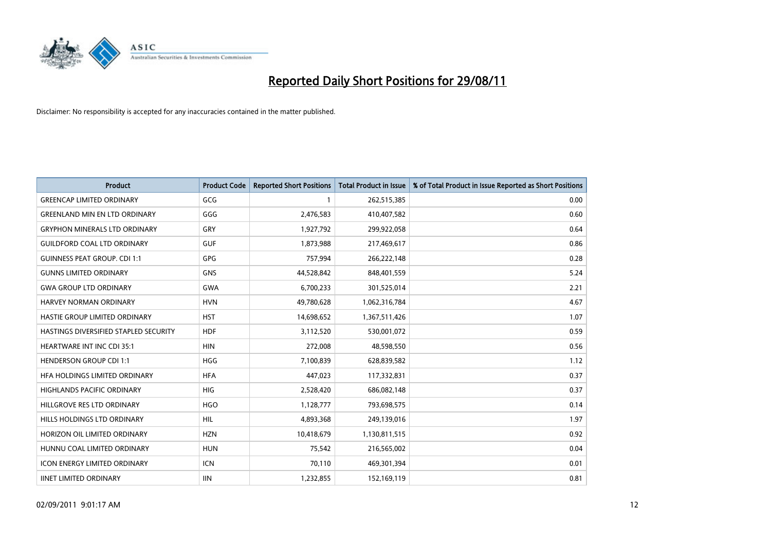

| <b>Product</b>                        | <b>Product Code</b> | <b>Reported Short Positions</b> | <b>Total Product in Issue</b> | % of Total Product in Issue Reported as Short Positions |
|---------------------------------------|---------------------|---------------------------------|-------------------------------|---------------------------------------------------------|
| <b>GREENCAP LIMITED ORDINARY</b>      | <b>GCG</b>          |                                 | 262,515,385                   | 0.00                                                    |
| <b>GREENLAND MIN EN LTD ORDINARY</b>  | GGG                 | 2,476,583                       | 410,407,582                   | 0.60                                                    |
| <b>GRYPHON MINERALS LTD ORDINARY</b>  | GRY                 | 1,927,792                       | 299,922,058                   | 0.64                                                    |
| <b>GUILDFORD COAL LTD ORDINARY</b>    | <b>GUF</b>          | 1,873,988                       | 217,469,617                   | 0.86                                                    |
| <b>GUINNESS PEAT GROUP. CDI 1:1</b>   | <b>GPG</b>          | 757,994                         | 266,222,148                   | 0.28                                                    |
| <b>GUNNS LIMITED ORDINARY</b>         | <b>GNS</b>          | 44,528,842                      | 848,401,559                   | 5.24                                                    |
| <b>GWA GROUP LTD ORDINARY</b>         | <b>GWA</b>          | 6,700,233                       | 301,525,014                   | 2.21                                                    |
| HARVEY NORMAN ORDINARY                | <b>HVN</b>          | 49,780,628                      | 1,062,316,784                 | 4.67                                                    |
| HASTIE GROUP LIMITED ORDINARY         | <b>HST</b>          | 14,698,652                      | 1,367,511,426                 | 1.07                                                    |
| HASTINGS DIVERSIFIED STAPLED SECURITY | <b>HDF</b>          | 3,112,520                       | 530,001,072                   | 0.59                                                    |
| HEARTWARE INT INC CDI 35:1            | <b>HIN</b>          | 272,008                         | 48,598,550                    | 0.56                                                    |
| <b>HENDERSON GROUP CDI 1:1</b>        | <b>HGG</b>          | 7,100,839                       | 628,839,582                   | 1.12                                                    |
| HFA HOLDINGS LIMITED ORDINARY         | <b>HFA</b>          | 447,023                         | 117,332,831                   | 0.37                                                    |
| HIGHLANDS PACIFIC ORDINARY            | HIG                 | 2,528,420                       | 686,082,148                   | 0.37                                                    |
| HILLGROVE RES LTD ORDINARY            | <b>HGO</b>          | 1,128,777                       | 793,698,575                   | 0.14                                                    |
| HILLS HOLDINGS LTD ORDINARY           | <b>HIL</b>          | 4,893,368                       | 249,139,016                   | 1.97                                                    |
| HORIZON OIL LIMITED ORDINARY          | <b>HZN</b>          | 10,418,679                      | 1,130,811,515                 | 0.92                                                    |
| HUNNU COAL LIMITED ORDINARY           | <b>HUN</b>          | 75,542                          | 216,565,002                   | 0.04                                                    |
| <b>ICON ENERGY LIMITED ORDINARY</b>   | <b>ICN</b>          | 70,110                          | 469,301,394                   | 0.01                                                    |
| <b>IINET LIMITED ORDINARY</b>         | <b>IIN</b>          | 1,232,855                       | 152,169,119                   | 0.81                                                    |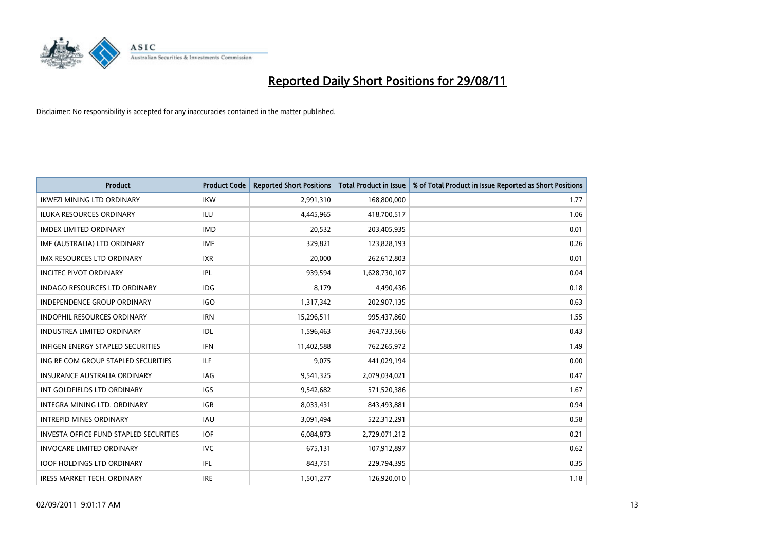

| <b>Product</b>                                | <b>Product Code</b> | <b>Reported Short Positions</b> | Total Product in Issue | % of Total Product in Issue Reported as Short Positions |
|-----------------------------------------------|---------------------|---------------------------------|------------------------|---------------------------------------------------------|
| <b>IKWEZI MINING LTD ORDINARY</b>             | <b>IKW</b>          | 2,991,310                       | 168,800,000            | 1.77                                                    |
| <b>ILUKA RESOURCES ORDINARY</b>               | <b>ILU</b>          | 4,445,965                       | 418,700,517            | 1.06                                                    |
| <b>IMDEX LIMITED ORDINARY</b>                 | <b>IMD</b>          | 20,532                          | 203,405,935            | 0.01                                                    |
| IMF (AUSTRALIA) LTD ORDINARY                  | <b>IMF</b>          | 329,821                         | 123,828,193            | 0.26                                                    |
| <b>IMX RESOURCES LTD ORDINARY</b>             | <b>IXR</b>          | 20.000                          | 262,612,803            | 0.01                                                    |
| <b>INCITEC PIVOT ORDINARY</b>                 | <b>IPL</b>          | 939,594                         | 1,628,730,107          | 0.04                                                    |
| <b>INDAGO RESOURCES LTD ORDINARY</b>          | <b>IDG</b>          | 8.179                           | 4,490,436              | 0.18                                                    |
| <b>INDEPENDENCE GROUP ORDINARY</b>            | IGO                 | 1,317,342                       | 202,907,135            | 0.63                                                    |
| INDOPHIL RESOURCES ORDINARY                   | <b>IRN</b>          | 15,296,511                      | 995,437,860            | 1.55                                                    |
| <b>INDUSTREA LIMITED ORDINARY</b>             | IDL                 | 1,596,463                       | 364,733,566            | 0.43                                                    |
| <b>INFIGEN ENERGY STAPLED SECURITIES</b>      | <b>IFN</b>          | 11,402,588                      | 762,265,972            | 1.49                                                    |
| ING RE COM GROUP STAPLED SECURITIES           | <b>ILF</b>          | 9,075                           | 441,029,194            | 0.00                                                    |
| <b>INSURANCE AUSTRALIA ORDINARY</b>           | <b>IAG</b>          | 9,541,325                       | 2,079,034,021          | 0.47                                                    |
| INT GOLDFIELDS LTD ORDINARY                   | <b>IGS</b>          | 9,542,682                       | 571,520,386            | 1.67                                                    |
| INTEGRA MINING LTD, ORDINARY                  | <b>IGR</b>          | 8,033,431                       | 843,493,881            | 0.94                                                    |
| <b>INTREPID MINES ORDINARY</b>                | <b>IAU</b>          | 3,091,494                       | 522,312,291            | 0.58                                                    |
| <b>INVESTA OFFICE FUND STAPLED SECURITIES</b> | <b>IOF</b>          | 6,084,873                       | 2,729,071,212          | 0.21                                                    |
| INVOCARE LIMITED ORDINARY                     | <b>IVC</b>          | 675,131                         | 107,912,897            | 0.62                                                    |
| <b>IOOF HOLDINGS LTD ORDINARY</b>             | IFL.                | 843,751                         | 229,794,395            | 0.35                                                    |
| <b>IRESS MARKET TECH. ORDINARY</b>            | <b>IRE</b>          | 1,501,277                       | 126,920,010            | 1.18                                                    |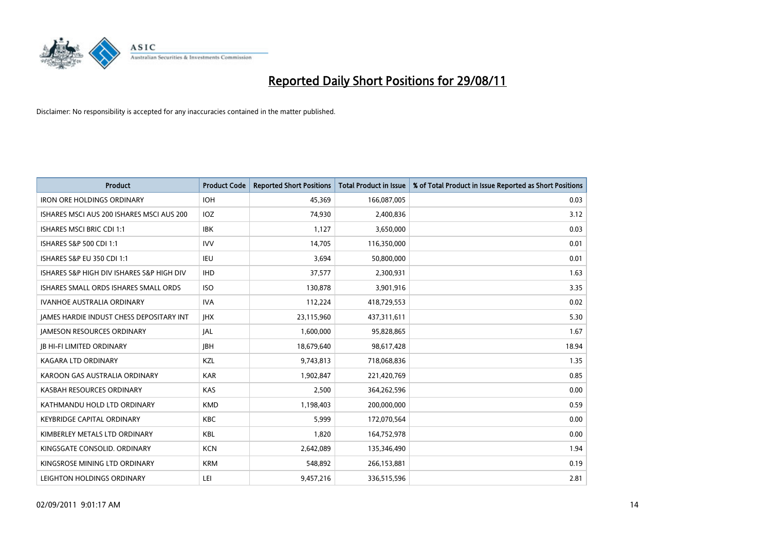

| <b>Product</b>                            | <b>Product Code</b> | <b>Reported Short Positions</b> | <b>Total Product in Issue</b> | % of Total Product in Issue Reported as Short Positions |
|-------------------------------------------|---------------------|---------------------------------|-------------------------------|---------------------------------------------------------|
| <b>IRON ORE HOLDINGS ORDINARY</b>         | <b>IOH</b>          | 45,369                          | 166,087,005                   | 0.03                                                    |
| ISHARES MSCI AUS 200 ISHARES MSCI AUS 200 | IOZ                 | 74,930                          | 2,400,836                     | 3.12                                                    |
| <b>ISHARES MSCI BRIC CDI 1:1</b>          | <b>IBK</b>          | 1,127                           | 3,650,000                     | 0.03                                                    |
| ISHARES S&P 500 CDI 1:1                   | <b>IVV</b>          | 14,705                          | 116,350,000                   | 0.01                                                    |
| <b>ISHARES S&amp;P EU 350 CDI 1:1</b>     | <b>IEU</b>          | 3,694                           | 50,800,000                    | 0.01                                                    |
| ISHARES S&P HIGH DIV ISHARES S&P HIGH DIV | <b>IHD</b>          | 37,577                          | 2,300,931                     | 1.63                                                    |
| ISHARES SMALL ORDS ISHARES SMALL ORDS     | <b>ISO</b>          | 130.878                         | 3,901,916                     | 3.35                                                    |
| <b>IVANHOE AUSTRALIA ORDINARY</b>         | <b>IVA</b>          | 112,224                         | 418,729,553                   | 0.02                                                    |
| JAMES HARDIE INDUST CHESS DEPOSITARY INT  | <b>IHX</b>          | 23,115,960                      | 437,311,611                   | 5.30                                                    |
| <b>IAMESON RESOURCES ORDINARY</b>         | IAL                 | 1,600,000                       | 95,828,865                    | 1.67                                                    |
| <b>JB HI-FI LIMITED ORDINARY</b>          | <b>IBH</b>          | 18,679,640                      | 98,617,428                    | 18.94                                                   |
| <b>KAGARA LTD ORDINARY</b>                | KZL                 | 9,743,813                       | 718,068,836                   | 1.35                                                    |
| KAROON GAS AUSTRALIA ORDINARY             | <b>KAR</b>          | 1,902,847                       | 221,420,769                   | 0.85                                                    |
| KASBAH RESOURCES ORDINARY                 | <b>KAS</b>          | 2,500                           | 364,262,596                   | 0.00                                                    |
| KATHMANDU HOLD LTD ORDINARY               | <b>KMD</b>          | 1,198,403                       | 200,000,000                   | 0.59                                                    |
| <b>KEYBRIDGE CAPITAL ORDINARY</b>         | <b>KBC</b>          | 5,999                           | 172,070,564                   | 0.00                                                    |
| KIMBERLEY METALS LTD ORDINARY             | <b>KBL</b>          | 1,820                           | 164,752,978                   | 0.00                                                    |
| KINGSGATE CONSOLID. ORDINARY              | <b>KCN</b>          | 2,642,089                       | 135,346,490                   | 1.94                                                    |
| KINGSROSE MINING LTD ORDINARY             | <b>KRM</b>          | 548,892                         | 266,153,881                   | 0.19                                                    |
| LEIGHTON HOLDINGS ORDINARY                | LEI                 | 9,457,216                       | 336,515,596                   | 2.81                                                    |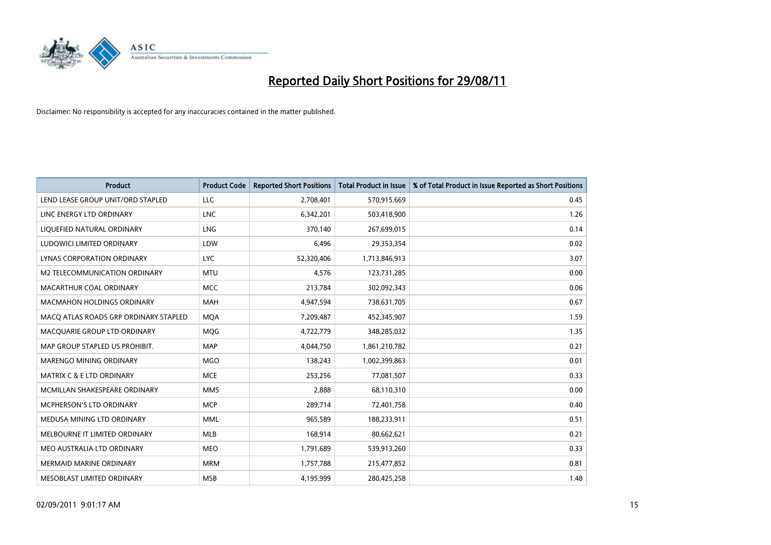

| <b>Product</b>                        | <b>Product Code</b> | <b>Reported Short Positions</b> | Total Product in Issue | % of Total Product in Issue Reported as Short Positions |
|---------------------------------------|---------------------|---------------------------------|------------------------|---------------------------------------------------------|
| LEND LEASE GROUP UNIT/ORD STAPLED     | LLC                 | 2,708,401                       | 570,915,669            | 0.45                                                    |
| LINC ENERGY LTD ORDINARY              | <b>LNC</b>          | 6,342,201                       | 503,418,900            | 1.26                                                    |
| LIQUEFIED NATURAL ORDINARY            | LNG                 | 370.140                         | 267,699,015            | 0.14                                                    |
| LUDOWICI LIMITED ORDINARY             | LDW                 | 6,496                           | 29,353,354             | 0.02                                                    |
| LYNAS CORPORATION ORDINARY            | <b>LYC</b>          | 52,320,406                      | 1,713,846,913          | 3.07                                                    |
| M2 TELECOMMUNICATION ORDINARY         | <b>MTU</b>          | 4,576                           | 123,731,285            | 0.00                                                    |
| MACARTHUR COAL ORDINARY               | <b>MCC</b>          | 213,784                         | 302,092,343            | 0.06                                                    |
| MACMAHON HOLDINGS ORDINARY            | <b>MAH</b>          | 4,947,594                       | 738,631,705            | 0.67                                                    |
| MACO ATLAS ROADS GRP ORDINARY STAPLED | <b>MOA</b>          | 7,209,487                       | 452,345,907            | 1.59                                                    |
| MACQUARIE GROUP LTD ORDINARY          | <b>MOG</b>          | 4,722,779                       | 348,285,032            | 1.35                                                    |
| MAP GROUP STAPLED US PROHIBIT.        | <b>MAP</b>          | 4,044,750                       | 1,861,210,782          | 0.21                                                    |
| MARENGO MINING ORDINARY               | <b>MGO</b>          | 138,243                         | 1,002,399,863          | 0.01                                                    |
| MATRIX C & E LTD ORDINARY             | <b>MCE</b>          | 253,256                         | 77,081,507             | 0.33                                                    |
| MCMILLAN SHAKESPEARE ORDINARY         | <b>MMS</b>          | 2,888                           | 68,110,310             | 0.00                                                    |
| <b>MCPHERSON'S LTD ORDINARY</b>       | <b>MCP</b>          | 289,714                         | 72,401,758             | 0.40                                                    |
| MEDUSA MINING LTD ORDINARY            | <b>MML</b>          | 965,589                         | 188,233,911            | 0.51                                                    |
| MELBOURNE IT LIMITED ORDINARY         | <b>MLB</b>          | 168,914                         | 80,662,621             | 0.21                                                    |
| MEO AUSTRALIA LTD ORDINARY            | <b>MEO</b>          | 1,791,689                       | 539,913,260            | 0.33                                                    |
| <b>MERMAID MARINE ORDINARY</b>        | <b>MRM</b>          | 1,757,788                       | 215,477,852            | 0.81                                                    |
| MESOBLAST LIMITED ORDINARY            | <b>MSB</b>          | 4,195,999                       | 280,425,258            | 1.48                                                    |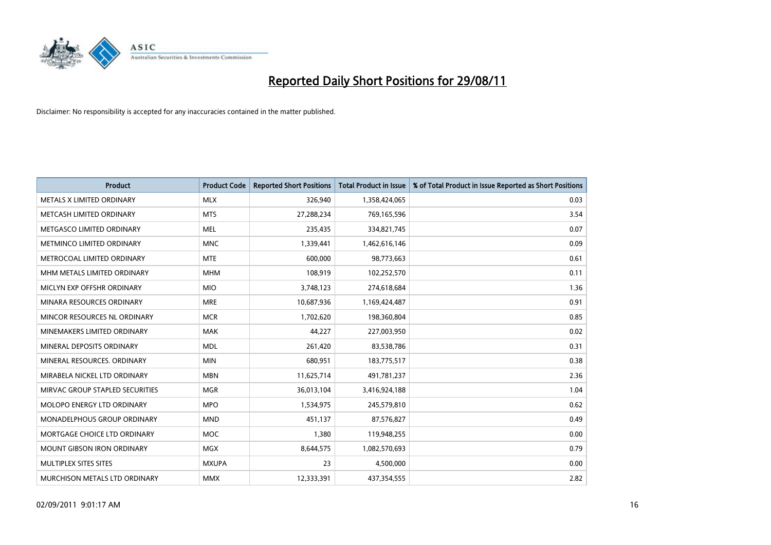

| <b>Product</b>                       | <b>Product Code</b> | <b>Reported Short Positions</b> | <b>Total Product in Issue</b> | % of Total Product in Issue Reported as Short Positions |
|--------------------------------------|---------------------|---------------------------------|-------------------------------|---------------------------------------------------------|
| METALS X LIMITED ORDINARY            | <b>MLX</b>          | 326,940                         | 1,358,424,065                 | 0.03                                                    |
| METCASH LIMITED ORDINARY             | <b>MTS</b>          | 27,288,234                      | 769,165,596                   | 3.54                                                    |
| METGASCO LIMITED ORDINARY            | <b>MEL</b>          | 235,435                         | 334,821,745                   | 0.07                                                    |
| METMINCO LIMITED ORDINARY            | <b>MNC</b>          | 1,339,441                       | 1,462,616,146                 | 0.09                                                    |
| METROCOAL LIMITED ORDINARY           | <b>MTE</b>          | 600,000                         | 98,773,663                    | 0.61                                                    |
| MHM METALS LIMITED ORDINARY          | <b>MHM</b>          | 108,919                         | 102,252,570                   | 0.11                                                    |
| MICLYN EXP OFFSHR ORDINARY           | <b>MIO</b>          | 3,748,123                       | 274,618,684                   | 1.36                                                    |
| MINARA RESOURCES ORDINARY            | <b>MRE</b>          | 10,687,936                      | 1,169,424,487                 | 0.91                                                    |
| MINCOR RESOURCES NL ORDINARY         | <b>MCR</b>          | 1,702,620                       | 198,360,804                   | 0.85                                                    |
| MINEMAKERS LIMITED ORDINARY          | MAK                 | 44,227                          | 227,003,950                   | 0.02                                                    |
| MINERAL DEPOSITS ORDINARY            | <b>MDL</b>          | 261,420                         | 83,538,786                    | 0.31                                                    |
| MINERAL RESOURCES, ORDINARY          | <b>MIN</b>          | 680,951                         | 183,775,517                   | 0.38                                                    |
| MIRABELA NICKEL LTD ORDINARY         | <b>MBN</b>          | 11,625,714                      | 491,781,237                   | 2.36                                                    |
| MIRVAC GROUP STAPLED SECURITIES      | <b>MGR</b>          | 36,013,104                      | 3,416,924,188                 | 1.04                                                    |
| MOLOPO ENERGY LTD ORDINARY           | <b>MPO</b>          | 1,534,975                       | 245,579,810                   | 0.62                                                    |
| MONADELPHOUS GROUP ORDINARY          | <b>MND</b>          | 451,137                         | 87,576,827                    | 0.49                                                    |
| MORTGAGE CHOICE LTD ORDINARY         | <b>MOC</b>          | 1,380                           | 119,948,255                   | 0.00                                                    |
| <b>MOUNT GIBSON IRON ORDINARY</b>    | <b>MGX</b>          | 8,644,575                       | 1,082,570,693                 | 0.79                                                    |
| MULTIPLEX SITES SITES                | <b>MXUPA</b>        | 23                              | 4,500,000                     | 0.00                                                    |
| <b>MURCHISON METALS LTD ORDINARY</b> | <b>MMX</b>          | 12,333,391                      | 437,354,555                   | 2.82                                                    |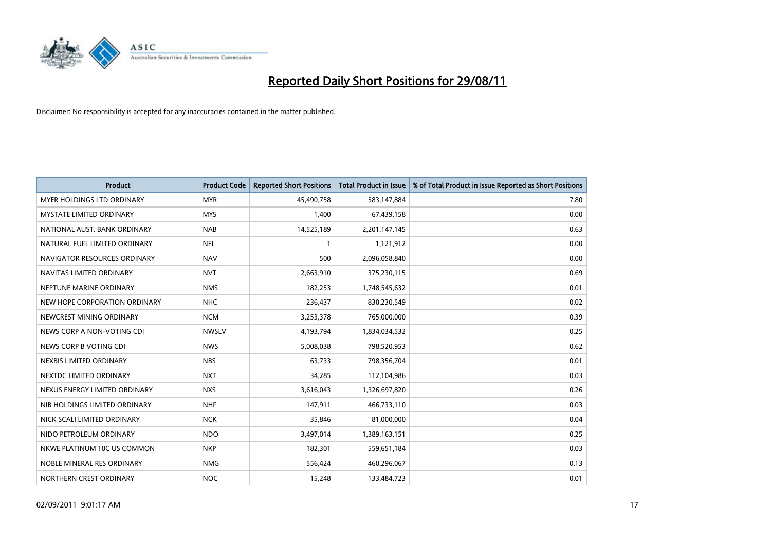

| <b>Product</b>                    | <b>Product Code</b> | <b>Reported Short Positions</b> | Total Product in Issue | % of Total Product in Issue Reported as Short Positions |
|-----------------------------------|---------------------|---------------------------------|------------------------|---------------------------------------------------------|
| <b>MYER HOLDINGS LTD ORDINARY</b> | <b>MYR</b>          | 45,490,758                      | 583,147,884            | 7.80                                                    |
| MYSTATE LIMITED ORDINARY          | <b>MYS</b>          | 1,400                           | 67,439,158             | 0.00                                                    |
| NATIONAL AUST. BANK ORDINARY      | <b>NAB</b>          | 14,525,189                      | 2,201,147,145          | 0.63                                                    |
| NATURAL FUEL LIMITED ORDINARY     | <b>NFL</b>          | 1                               | 1,121,912              | 0.00                                                    |
| NAVIGATOR RESOURCES ORDINARY      | <b>NAV</b>          | 500                             | 2,096,058,840          | 0.00                                                    |
| NAVITAS LIMITED ORDINARY          | <b>NVT</b>          | 2,663,910                       | 375,230,115            | 0.69                                                    |
| NEPTUNE MARINE ORDINARY           | <b>NMS</b>          | 182,253                         | 1,748,545,632          | 0.01                                                    |
| NEW HOPE CORPORATION ORDINARY     | <b>NHC</b>          | 236,437                         | 830,230,549            | 0.02                                                    |
| NEWCREST MINING ORDINARY          | <b>NCM</b>          | 3,253,378                       | 765,000,000            | 0.39                                                    |
| NEWS CORP A NON-VOTING CDI        | <b>NWSLV</b>        | 4,193,794                       | 1,834,034,532          | 0.25                                                    |
| NEWS CORP B VOTING CDI            | <b>NWS</b>          | 5,008,038                       | 798,520,953            | 0.62                                                    |
| NEXBIS LIMITED ORDINARY           | <b>NBS</b>          | 63,733                          | 798,356,704            | 0.01                                                    |
| NEXTDC LIMITED ORDINARY           | <b>NXT</b>          | 34,285                          | 112,104,986            | 0.03                                                    |
| NEXUS ENERGY LIMITED ORDINARY     | <b>NXS</b>          | 3,616,043                       | 1,326,697,820          | 0.26                                                    |
| NIB HOLDINGS LIMITED ORDINARY     | <b>NHF</b>          | 147,911                         | 466,733,110            | 0.03                                                    |
| NICK SCALI LIMITED ORDINARY       | <b>NCK</b>          | 35,846                          | 81,000,000             | 0.04                                                    |
| NIDO PETROLEUM ORDINARY           | <b>NDO</b>          | 3,497,014                       | 1,389,163,151          | 0.25                                                    |
| NKWE PLATINUM 10C US COMMON       | <b>NKP</b>          | 182,301                         | 559,651,184            | 0.03                                                    |
| NOBLE MINERAL RES ORDINARY        | <b>NMG</b>          | 556,424                         | 460,296,067            | 0.13                                                    |
| NORTHERN CREST ORDINARY           | <b>NOC</b>          | 15,248                          | 133,484,723            | 0.01                                                    |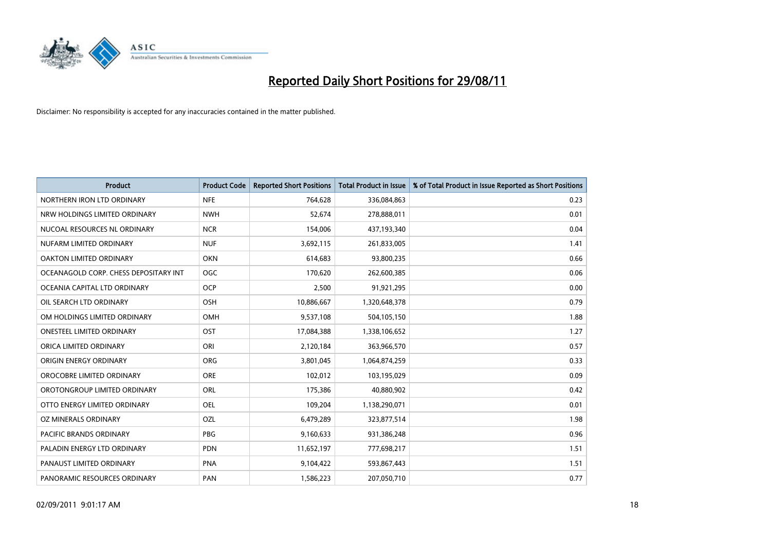

| <b>Product</b>                        | <b>Product Code</b> | <b>Reported Short Positions</b> | Total Product in Issue | % of Total Product in Issue Reported as Short Positions |
|---------------------------------------|---------------------|---------------------------------|------------------------|---------------------------------------------------------|
| NORTHERN IRON LTD ORDINARY            | <b>NFE</b>          | 764,628                         | 336,084,863            | 0.23                                                    |
| NRW HOLDINGS LIMITED ORDINARY         | <b>NWH</b>          | 52,674                          | 278,888,011            | 0.01                                                    |
| NUCOAL RESOURCES NL ORDINARY          | <b>NCR</b>          | 154,006                         | 437,193,340            | 0.04                                                    |
| NUFARM LIMITED ORDINARY               | <b>NUF</b>          | 3,692,115                       | 261,833,005            | 1.41                                                    |
| <b>OAKTON LIMITED ORDINARY</b>        | <b>OKN</b>          | 614,683                         | 93,800,235             | 0.66                                                    |
| OCEANAGOLD CORP. CHESS DEPOSITARY INT | <b>OGC</b>          | 170,620                         | 262,600,385            | 0.06                                                    |
| OCEANIA CAPITAL LTD ORDINARY          | <b>OCP</b>          | 2,500                           | 91,921,295             | 0.00                                                    |
| OIL SEARCH LTD ORDINARY               | OSH                 | 10,886,667                      | 1,320,648,378          | 0.79                                                    |
| OM HOLDINGS LIMITED ORDINARY          | <b>OMH</b>          | 9,537,108                       | 504,105,150            | 1.88                                                    |
| <b>ONESTEEL LIMITED ORDINARY</b>      | <b>OST</b>          | 17,084,388                      | 1,338,106,652          | 1.27                                                    |
| ORICA LIMITED ORDINARY                | ORI                 | 2,120,184                       | 363,966,570            | 0.57                                                    |
| ORIGIN ENERGY ORDINARY                | <b>ORG</b>          | 3,801,045                       | 1,064,874,259          | 0.33                                                    |
| OROCOBRE LIMITED ORDINARY             | <b>ORE</b>          | 102,012                         | 103,195,029            | 0.09                                                    |
| OROTONGROUP LIMITED ORDINARY          | ORL                 | 175,386                         | 40,880,902             | 0.42                                                    |
| OTTO ENERGY LIMITED ORDINARY          | <b>OEL</b>          | 109,204                         | 1,138,290,071          | 0.01                                                    |
| OZ MINERALS ORDINARY                  | OZL                 | 6,479,289                       | 323,877,514            | 1.98                                                    |
| PACIFIC BRANDS ORDINARY               | PBG                 | 9,160,633                       | 931,386,248            | 0.96                                                    |
| PALADIN ENERGY LTD ORDINARY           | <b>PDN</b>          | 11,652,197                      | 777,698,217            | 1.51                                                    |
| PANAUST LIMITED ORDINARY              | <b>PNA</b>          | 9,104,422                       | 593,867,443            | 1.51                                                    |
| PANORAMIC RESOURCES ORDINARY          | PAN                 | 1,586,223                       | 207,050,710            | 0.77                                                    |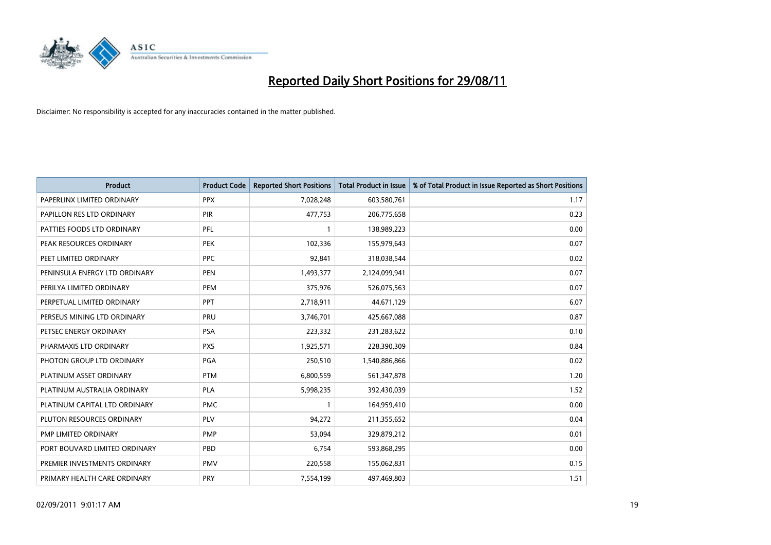

| <b>Product</b>                | <b>Product Code</b> | <b>Reported Short Positions</b> | Total Product in Issue | % of Total Product in Issue Reported as Short Positions |
|-------------------------------|---------------------|---------------------------------|------------------------|---------------------------------------------------------|
| PAPERLINX LIMITED ORDINARY    | <b>PPX</b>          | 7,028,248                       | 603,580,761            | 1.17                                                    |
| PAPILLON RES LTD ORDINARY     | <b>PIR</b>          | 477,753                         | 206,775,658            | 0.23                                                    |
| PATTIES FOODS LTD ORDINARY    | PFL                 |                                 | 138,989,223            | 0.00                                                    |
| PEAK RESOURCES ORDINARY       | <b>PEK</b>          | 102,336                         | 155,979,643            | 0.07                                                    |
| PEET LIMITED ORDINARY         | <b>PPC</b>          | 92,841                          | 318,038,544            | 0.02                                                    |
| PENINSULA ENERGY LTD ORDINARY | <b>PEN</b>          | 1,493,377                       | 2,124,099,941          | 0.07                                                    |
| PERILYA LIMITED ORDINARY      | <b>PEM</b>          | 375,976                         | 526,075,563            | 0.07                                                    |
| PERPETUAL LIMITED ORDINARY    | PPT                 | 2,718,911                       | 44,671,129             | 6.07                                                    |
| PERSEUS MINING LTD ORDINARY   | PRU                 | 3,746,701                       | 425,667,088            | 0.87                                                    |
| PETSEC ENERGY ORDINARY        | <b>PSA</b>          | 223,332                         | 231,283,622            | 0.10                                                    |
| PHARMAXIS LTD ORDINARY        | <b>PXS</b>          | 1,925,571                       | 228,390,309            | 0.84                                                    |
| PHOTON GROUP LTD ORDINARY     | PGA                 | 250,510                         | 1,540,886,866          | 0.02                                                    |
| PLATINUM ASSET ORDINARY       | <b>PTM</b>          | 6,800,559                       | 561,347,878            | 1.20                                                    |
| PLATINUM AUSTRALIA ORDINARY   | <b>PLA</b>          | 5,998,235                       | 392,430,039            | 1.52                                                    |
| PLATINUM CAPITAL LTD ORDINARY | <b>PMC</b>          |                                 | 164,959,410            | 0.00                                                    |
| PLUTON RESOURCES ORDINARY     | PLV                 | 94,272                          | 211,355,652            | 0.04                                                    |
| PMP LIMITED ORDINARY          | <b>PMP</b>          | 53,094                          | 329,879,212            | 0.01                                                    |
| PORT BOUVARD LIMITED ORDINARY | PBD                 | 6,754                           | 593,868,295            | 0.00                                                    |
| PREMIER INVESTMENTS ORDINARY  | <b>PMV</b>          | 220,558                         | 155,062,831            | 0.15                                                    |
| PRIMARY HEALTH CARE ORDINARY  | <b>PRY</b>          | 7,554,199                       | 497,469,803            | 1.51                                                    |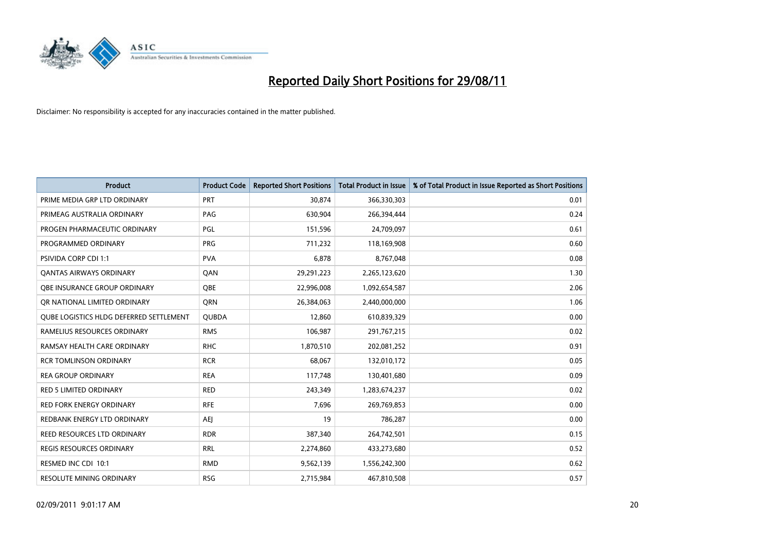

| <b>Product</b>                          | <b>Product Code</b> | <b>Reported Short Positions</b> | <b>Total Product in Issue</b> | % of Total Product in Issue Reported as Short Positions |
|-----------------------------------------|---------------------|---------------------------------|-------------------------------|---------------------------------------------------------|
| PRIME MEDIA GRP LTD ORDINARY            | PRT                 | 30,874                          | 366,330,303                   | 0.01                                                    |
| PRIMEAG AUSTRALIA ORDINARY              | PAG                 | 630,904                         | 266,394,444                   | 0.24                                                    |
| PROGEN PHARMACEUTIC ORDINARY            | PGL                 | 151,596                         | 24,709,097                    | 0.61                                                    |
| PROGRAMMED ORDINARY                     | <b>PRG</b>          | 711,232                         | 118,169,908                   | 0.60                                                    |
| <b>PSIVIDA CORP CDI 1:1</b>             | <b>PVA</b>          | 6,878                           | 8,767,048                     | 0.08                                                    |
| <b>QANTAS AIRWAYS ORDINARY</b>          | QAN                 | 29,291,223                      | 2,265,123,620                 | 1.30                                                    |
| OBE INSURANCE GROUP ORDINARY            | <b>QBE</b>          | 22,996,008                      | 1,092,654,587                 | 2.06                                                    |
| OR NATIONAL LIMITED ORDINARY            | <b>ORN</b>          | 26,384,063                      | 2,440,000,000                 | 1.06                                                    |
| QUBE LOGISTICS HLDG DEFERRED SETTLEMENT | <b>QUBDA</b>        | 12,860                          | 610,839,329                   | 0.00                                                    |
| RAMELIUS RESOURCES ORDINARY             | <b>RMS</b>          | 106,987                         | 291,767,215                   | 0.02                                                    |
| RAMSAY HEALTH CARE ORDINARY             | <b>RHC</b>          | 1,870,510                       | 202,081,252                   | 0.91                                                    |
| <b>RCR TOMLINSON ORDINARY</b>           | <b>RCR</b>          | 68,067                          | 132,010,172                   | 0.05                                                    |
| <b>REA GROUP ORDINARY</b>               | <b>REA</b>          | 117,748                         | 130,401,680                   | 0.09                                                    |
| <b>RED 5 LIMITED ORDINARY</b>           | <b>RED</b>          | 243,349                         | 1,283,674,237                 | 0.02                                                    |
| <b>RED FORK ENERGY ORDINARY</b>         | <b>RFE</b>          | 7,696                           | 269,769,853                   | 0.00                                                    |
| REDBANK ENERGY LTD ORDINARY             | AEJ                 | 19                              | 786,287                       | 0.00                                                    |
| REED RESOURCES LTD ORDINARY             | <b>RDR</b>          | 387,340                         | 264,742,501                   | 0.15                                                    |
| <b>REGIS RESOURCES ORDINARY</b>         | <b>RRL</b>          | 2,274,860                       | 433,273,680                   | 0.52                                                    |
| RESMED INC CDI 10:1                     | <b>RMD</b>          | 9,562,139                       | 1,556,242,300                 | 0.62                                                    |
| <b>RESOLUTE MINING ORDINARY</b>         | <b>RSG</b>          | 2,715,984                       | 467,810,508                   | 0.57                                                    |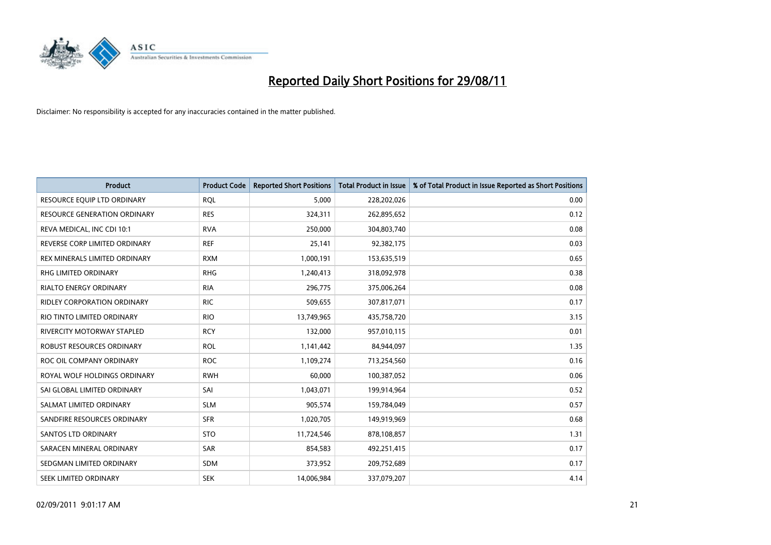

| <b>Product</b>                     | <b>Product Code</b> | <b>Reported Short Positions</b> | <b>Total Product in Issue</b> | % of Total Product in Issue Reported as Short Positions |
|------------------------------------|---------------------|---------------------------------|-------------------------------|---------------------------------------------------------|
| RESOURCE EQUIP LTD ORDINARY        | <b>RQL</b>          | 5,000                           | 228,202,026                   | 0.00                                                    |
| RESOURCE GENERATION ORDINARY       | <b>RES</b>          | 324,311                         | 262,895,652                   | 0.12                                                    |
| REVA MEDICAL, INC CDI 10:1         | <b>RVA</b>          | 250,000                         | 304,803,740                   | 0.08                                                    |
| REVERSE CORP LIMITED ORDINARY      | <b>REF</b>          | 25,141                          | 92,382,175                    | 0.03                                                    |
| REX MINERALS LIMITED ORDINARY      | <b>RXM</b>          | 1,000,191                       | 153,635,519                   | 0.65                                                    |
| <b>RHG LIMITED ORDINARY</b>        | <b>RHG</b>          | 1,240,413                       | 318,092,978                   | 0.38                                                    |
| <b>RIALTO ENERGY ORDINARY</b>      | <b>RIA</b>          | 296,775                         | 375,006,264                   | 0.08                                                    |
| <b>RIDLEY CORPORATION ORDINARY</b> | <b>RIC</b>          | 509,655                         | 307,817,071                   | 0.17                                                    |
| RIO TINTO LIMITED ORDINARY         | <b>RIO</b>          | 13,749,965                      | 435,758,720                   | 3.15                                                    |
| <b>RIVERCITY MOTORWAY STAPLED</b>  | <b>RCY</b>          | 132,000                         | 957,010,115                   | 0.01                                                    |
| ROBUST RESOURCES ORDINARY          | <b>ROL</b>          | 1,141,442                       | 84,944,097                    | 1.35                                                    |
| ROC OIL COMPANY ORDINARY           | <b>ROC</b>          | 1,109,274                       | 713,254,560                   | 0.16                                                    |
| ROYAL WOLF HOLDINGS ORDINARY       | <b>RWH</b>          | 60,000                          | 100,387,052                   | 0.06                                                    |
| SAI GLOBAL LIMITED ORDINARY        | SAI                 | 1,043,071                       | 199,914,964                   | 0.52                                                    |
| SALMAT LIMITED ORDINARY            | <b>SLM</b>          | 905,574                         | 159,784,049                   | 0.57                                                    |
| SANDFIRE RESOURCES ORDINARY        | <b>SFR</b>          | 1,020,705                       | 149,919,969                   | 0.68                                                    |
| <b>SANTOS LTD ORDINARY</b>         | <b>STO</b>          | 11,724,546                      | 878,108,857                   | 1.31                                                    |
| SARACEN MINERAL ORDINARY           | <b>SAR</b>          | 854,583                         | 492,251,415                   | 0.17                                                    |
| SEDGMAN LIMITED ORDINARY           | <b>SDM</b>          | 373,952                         | 209,752,689                   | 0.17                                                    |
| <b>SEEK LIMITED ORDINARY</b>       | <b>SEK</b>          | 14,006,984                      | 337,079,207                   | 4.14                                                    |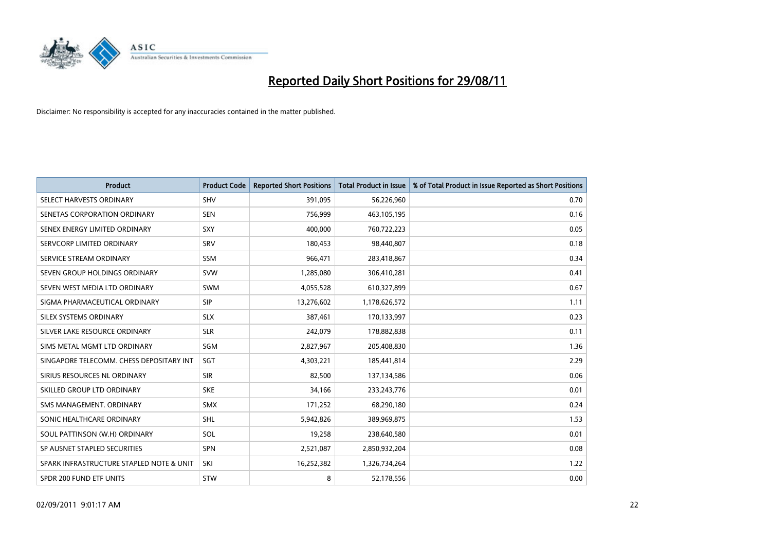

| <b>Product</b>                           | <b>Product Code</b> | <b>Reported Short Positions</b> | <b>Total Product in Issue</b> | % of Total Product in Issue Reported as Short Positions |
|------------------------------------------|---------------------|---------------------------------|-------------------------------|---------------------------------------------------------|
| SELECT HARVESTS ORDINARY                 | <b>SHV</b>          | 391,095                         | 56,226,960                    | 0.70                                                    |
| SENETAS CORPORATION ORDINARY             | <b>SEN</b>          | 756,999                         | 463,105,195                   | 0.16                                                    |
| SENEX ENERGY LIMITED ORDINARY            | SXY                 | 400.000                         | 760,722,223                   | 0.05                                                    |
| SERVCORP LIMITED ORDINARY                | SRV                 | 180,453                         | 98,440,807                    | 0.18                                                    |
| SERVICE STREAM ORDINARY                  | <b>SSM</b>          | 966,471                         | 283,418,867                   | 0.34                                                    |
| SEVEN GROUP HOLDINGS ORDINARY            | <b>SVW</b>          | 1,285,080                       | 306,410,281                   | 0.41                                                    |
| SEVEN WEST MEDIA LTD ORDINARY            | SWM                 | 4,055,528                       | 610,327,899                   | 0.67                                                    |
| SIGMA PHARMACEUTICAL ORDINARY            | SIP                 | 13,276,602                      | 1,178,626,572                 | 1.11                                                    |
| SILEX SYSTEMS ORDINARY                   | <b>SLX</b>          | 387,461                         | 170,133,997                   | 0.23                                                    |
| SILVER LAKE RESOURCE ORDINARY            | <b>SLR</b>          | 242,079                         | 178,882,838                   | 0.11                                                    |
| SIMS METAL MGMT LTD ORDINARY             | SGM                 | 2,827,967                       | 205,408,830                   | 1.36                                                    |
| SINGAPORE TELECOMM. CHESS DEPOSITARY INT | SGT                 | 4,303,221                       | 185,441,814                   | 2.29                                                    |
| SIRIUS RESOURCES NL ORDINARY             | <b>SIR</b>          | 82,500                          | 137,134,586                   | 0.06                                                    |
| SKILLED GROUP LTD ORDINARY               | <b>SKE</b>          | 34,166                          | 233, 243, 776                 | 0.01                                                    |
| SMS MANAGEMENT, ORDINARY                 | <b>SMX</b>          | 171,252                         | 68,290,180                    | 0.24                                                    |
| SONIC HEALTHCARE ORDINARY                | <b>SHL</b>          | 5,942,826                       | 389,969,875                   | 1.53                                                    |
| SOUL PATTINSON (W.H) ORDINARY            | SOL                 | 19,258                          | 238,640,580                   | 0.01                                                    |
| SP AUSNET STAPLED SECURITIES             | <b>SPN</b>          | 2,521,087                       | 2,850,932,204                 | 0.08                                                    |
| SPARK INFRASTRUCTURE STAPLED NOTE & UNIT | SKI                 | 16,252,382                      | 1,326,734,264                 | 1.22                                                    |
| SPDR 200 FUND ETF UNITS                  | STW                 | 8                               | 52,178,556                    | 0.00                                                    |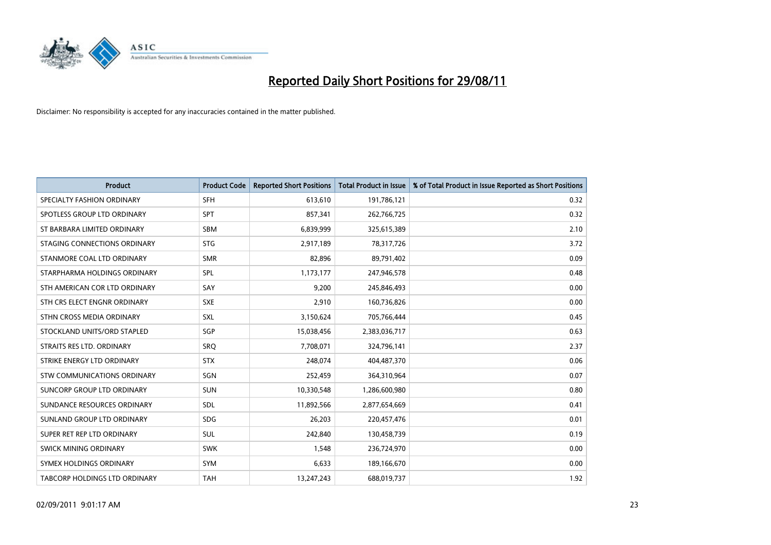

| <b>Product</b>                     | <b>Product Code</b> | <b>Reported Short Positions</b> | <b>Total Product in Issue</b> | % of Total Product in Issue Reported as Short Positions |
|------------------------------------|---------------------|---------------------------------|-------------------------------|---------------------------------------------------------|
| SPECIALTY FASHION ORDINARY         | <b>SFH</b>          | 613,610                         | 191,786,121                   | 0.32                                                    |
| SPOTLESS GROUP LTD ORDINARY        | <b>SPT</b>          | 857,341                         | 262,766,725                   | 0.32                                                    |
| ST BARBARA LIMITED ORDINARY        | <b>SBM</b>          | 6,839,999                       | 325,615,389                   | 2.10                                                    |
| STAGING CONNECTIONS ORDINARY       | <b>STG</b>          | 2,917,189                       | 78,317,726                    | 3.72                                                    |
| STANMORE COAL LTD ORDINARY         | <b>SMR</b>          | 82,896                          | 89,791,402                    | 0.09                                                    |
| STARPHARMA HOLDINGS ORDINARY       | SPL                 | 1,173,177                       | 247,946,578                   | 0.48                                                    |
| STH AMERICAN COR LTD ORDINARY      | SAY                 | 9.200                           | 245,846,493                   | 0.00                                                    |
| STH CRS ELECT ENGNR ORDINARY       | <b>SXE</b>          | 2,910                           | 160,736,826                   | 0.00                                                    |
| STHN CROSS MEDIA ORDINARY          | <b>SXL</b>          | 3,150,624                       | 705,766,444                   | 0.45                                                    |
| STOCKLAND UNITS/ORD STAPLED        | SGP                 | 15,038,456                      | 2,383,036,717                 | 0.63                                                    |
| STRAITS RES LTD. ORDINARY          | SRQ                 | 7,708,071                       | 324,796,141                   | 2.37                                                    |
| STRIKE ENERGY LTD ORDINARY         | <b>STX</b>          | 248,074                         | 404,487,370                   | 0.06                                                    |
| <b>STW COMMUNICATIONS ORDINARY</b> | SGN                 | 252,459                         | 364,310,964                   | 0.07                                                    |
| <b>SUNCORP GROUP LTD ORDINARY</b>  | <b>SUN</b>          | 10,330,548                      | 1,286,600,980                 | 0.80                                                    |
| SUNDANCE RESOURCES ORDINARY        | <b>SDL</b>          | 11,892,566                      | 2,877,654,669                 | 0.41                                                    |
| SUNLAND GROUP LTD ORDINARY         | <b>SDG</b>          | 26,203                          | 220,457,476                   | 0.01                                                    |
| SUPER RET REP LTD ORDINARY         | <b>SUL</b>          | 242,840                         | 130,458,739                   | 0.19                                                    |
| <b>SWICK MINING ORDINARY</b>       | <b>SWK</b>          | 1,548                           | 236,724,970                   | 0.00                                                    |
| SYMEX HOLDINGS ORDINARY            | <b>SYM</b>          | 6,633                           | 189,166,670                   | 0.00                                                    |
| TABCORP HOLDINGS LTD ORDINARY      | <b>TAH</b>          | 13,247,243                      | 688,019,737                   | 1.92                                                    |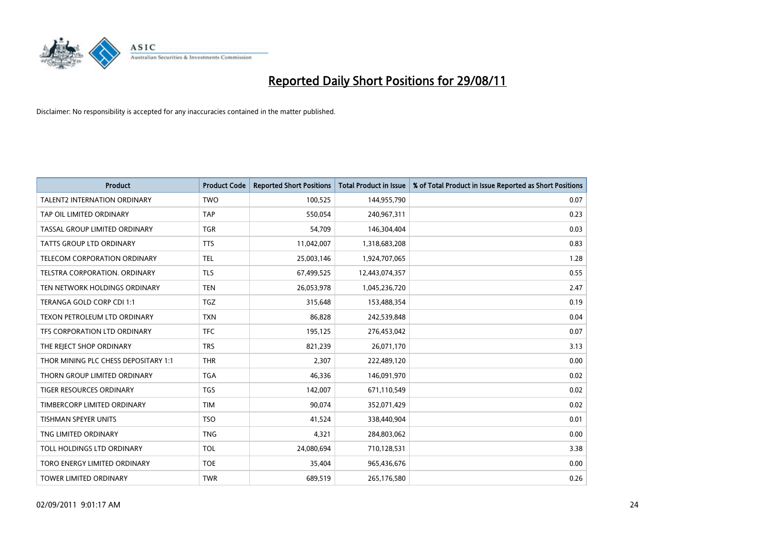

| <b>Product</b>                       | <b>Product Code</b> | <b>Reported Short Positions</b> | <b>Total Product in Issue</b> | % of Total Product in Issue Reported as Short Positions |
|--------------------------------------|---------------------|---------------------------------|-------------------------------|---------------------------------------------------------|
| <b>TALENT2 INTERNATION ORDINARY</b>  | <b>TWO</b>          | 100,525                         | 144,955,790                   | 0.07                                                    |
| TAP OIL LIMITED ORDINARY             | <b>TAP</b>          | 550,054                         | 240,967,311                   | 0.23                                                    |
| TASSAL GROUP LIMITED ORDINARY        | <b>TGR</b>          | 54,709                          | 146,304,404                   | 0.03                                                    |
| TATTS GROUP LTD ORDINARY             | <b>TTS</b>          | 11,042,007                      | 1,318,683,208                 | 0.83                                                    |
| TELECOM CORPORATION ORDINARY         | <b>TEL</b>          | 25,003,146                      | 1,924,707,065                 | 1.28                                                    |
| TELSTRA CORPORATION. ORDINARY        | <b>TLS</b>          | 67,499,525                      | 12,443,074,357                | 0.55                                                    |
| TEN NETWORK HOLDINGS ORDINARY        | <b>TEN</b>          | 26,053,978                      | 1,045,236,720                 | 2.47                                                    |
| TERANGA GOLD CORP CDI 1:1            | <b>TGZ</b>          | 315,648                         | 153,488,354                   | 0.19                                                    |
| TEXON PETROLEUM LTD ORDINARY         | <b>TXN</b>          | 86,828                          | 242,539,848                   | 0.04                                                    |
| TFS CORPORATION LTD ORDINARY         | <b>TFC</b>          | 195,125                         | 276,453,042                   | 0.07                                                    |
| THE REJECT SHOP ORDINARY             | <b>TRS</b>          | 821,239                         | 26,071,170                    | 3.13                                                    |
| THOR MINING PLC CHESS DEPOSITARY 1:1 | <b>THR</b>          | 2,307                           | 222,489,120                   | 0.00                                                    |
| THORN GROUP LIMITED ORDINARY         | <b>TGA</b>          | 46,336                          | 146,091,970                   | 0.02                                                    |
| TIGER RESOURCES ORDINARY             | <b>TGS</b>          | 142,007                         | 671,110,549                   | 0.02                                                    |
| TIMBERCORP LIMITED ORDINARY          | <b>TIM</b>          | 90,074                          | 352,071,429                   | 0.02                                                    |
| TISHMAN SPEYER UNITS                 | <b>TSO</b>          | 41,524                          | 338,440,904                   | 0.01                                                    |
| TNG LIMITED ORDINARY                 | <b>TNG</b>          | 4,321                           | 284,803,062                   | 0.00                                                    |
| TOLL HOLDINGS LTD ORDINARY           | <b>TOL</b>          | 24,080,694                      | 710,128,531                   | 3.38                                                    |
| TORO ENERGY LIMITED ORDINARY         | <b>TOE</b>          | 35,404                          | 965,436,676                   | 0.00                                                    |
| <b>TOWER LIMITED ORDINARY</b>        | <b>TWR</b>          | 689,519                         | 265,176,580                   | 0.26                                                    |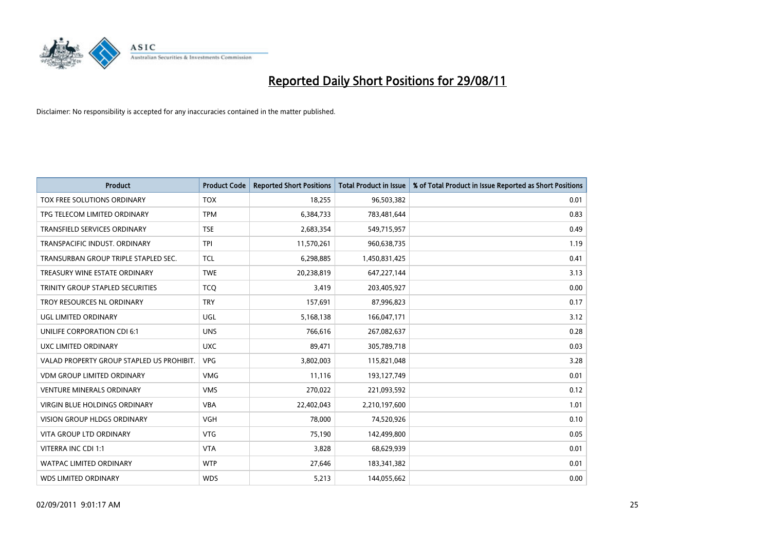

| <b>Product</b>                            | <b>Product Code</b> | <b>Reported Short Positions</b> | <b>Total Product in Issue</b> | % of Total Product in Issue Reported as Short Positions |
|-------------------------------------------|---------------------|---------------------------------|-------------------------------|---------------------------------------------------------|
| TOX FREE SOLUTIONS ORDINARY               | <b>TOX</b>          | 18,255                          | 96,503,382                    | 0.01                                                    |
| TPG TELECOM LIMITED ORDINARY              | <b>TPM</b>          | 6,384,733                       | 783,481,644                   | 0.83                                                    |
| <b>TRANSFIELD SERVICES ORDINARY</b>       | <b>TSE</b>          | 2,683,354                       | 549,715,957                   | 0.49                                                    |
| TRANSPACIFIC INDUST. ORDINARY             | <b>TPI</b>          | 11,570,261                      | 960,638,735                   | 1.19                                                    |
| TRANSURBAN GROUP TRIPLE STAPLED SEC.      | <b>TCL</b>          | 6,298,885                       | 1,450,831,425                 | 0.41                                                    |
| TREASURY WINE ESTATE ORDINARY             | <b>TWE</b>          | 20,238,819                      | 647,227,144                   | 3.13                                                    |
| TRINITY GROUP STAPLED SECURITIES          | <b>TCO</b>          | 3,419                           | 203,405,927                   | 0.00                                                    |
| TROY RESOURCES NL ORDINARY                | <b>TRY</b>          | 157,691                         | 87,996,823                    | 0.17                                                    |
| UGL LIMITED ORDINARY                      | UGL                 | 5,168,138                       | 166,047,171                   | 3.12                                                    |
| UNILIFE CORPORATION CDI 6:1               | <b>UNS</b>          | 766,616                         | 267,082,637                   | 0.28                                                    |
| UXC LIMITED ORDINARY                      | <b>UXC</b>          | 89,471                          | 305,789,718                   | 0.03                                                    |
| VALAD PROPERTY GROUP STAPLED US PROHIBIT. | <b>VPG</b>          | 3,802,003                       | 115,821,048                   | 3.28                                                    |
| <b>VDM GROUP LIMITED ORDINARY</b>         | <b>VMG</b>          | 11,116                          | 193,127,749                   | 0.01                                                    |
| <b>VENTURE MINERALS ORDINARY</b>          | <b>VMS</b>          | 270,022                         | 221,093,592                   | 0.12                                                    |
| <b>VIRGIN BLUE HOLDINGS ORDINARY</b>      | <b>VBA</b>          | 22,402,043                      | 2,210,197,600                 | 1.01                                                    |
| <b>VISION GROUP HLDGS ORDINARY</b>        | <b>VGH</b>          | 78,000                          | 74,520,926                    | 0.10                                                    |
| VITA GROUP LTD ORDINARY                   | <b>VTG</b>          | 75,190                          | 142,499,800                   | 0.05                                                    |
| VITERRA INC CDI 1:1                       | <b>VTA</b>          | 3,828                           | 68,629,939                    | 0.01                                                    |
| <b>WATPAC LIMITED ORDINARY</b>            | <b>WTP</b>          | 27,646                          | 183,341,382                   | 0.01                                                    |
| <b>WDS LIMITED ORDINARY</b>               | <b>WDS</b>          | 5,213                           | 144,055,662                   | 0.00                                                    |